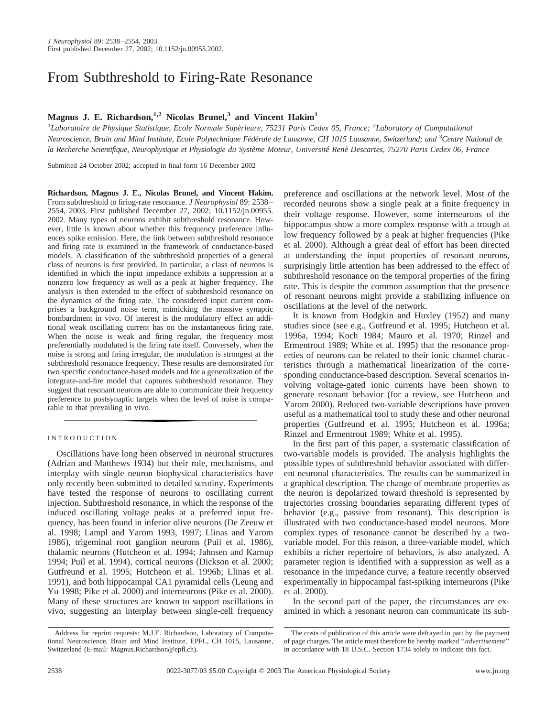# From Subthreshold to Firing-Rate Resonance

# **Magnus J. E. Richardson,**<sup>1,2</sup> Nicolas Brunel,<sup>3</sup> and Vincent Hakim<sup>1</sup>

<sup>1</sup>Laboratoire de Physique Statistique, Ecole Normale Supérieure, 75231 Paris Cedex 05, France; <sup>2</sup>Laboratory of Computational *Neuroscience, Brain and Mind Institute, Ecole Polytechnique Fe´de´rale de Lausanne, CH 1015 Lausanne, Switzerland; and* <sup>3</sup> *Centre National de* la Recherche Scientifique, Neurophysique et Physiologie du Système Moteur, Université René Descartes, 75270 Paris Cedex 06, France

Submitted 24 October 2002; accepted in final form 16 December 2002

**Richardson, Magnus J. E., Nicolas Brunel, and Vincent Hakim.** From subthreshold to firing-rate resonance. *J Neurophysiol* 89: 2538– 2554, 2003. First published December 27, 2002; 10.1152/jn.00955. 2002. Many types of neurons exhibit subthreshold resonance. However, little is known about whether this frequency preference influences spike emission. Here, the link between subthreshold resonance and firing rate is examined in the framework of conductance-based models. A classification of the subthreshold properties of a general class of neurons is first provided. In particular, a class of neurons is identified in which the input impedance exhibits a suppression at a nonzero low frequency as well as a peak at higher frequency. The analysis is then extended to the effect of subthreshold resonance on the dynamics of the firing rate. The considered input current comprises a background noise term, mimicking the massive synaptic bombardment in vivo. Of interest is the modulatory effect an additional weak oscillating current has on the instantaneous firing rate. When the noise is weak and firing regular, the frequency most preferentially modulated is the firing rate itself. Conversely, when the noise is strong and firing irregular, the modulation is strongest at the subthreshold resonance frequency. These results are demonstrated for two specific conductance-based models and for a generalization of the integrate-and-fire model that captures subthreshold resonance. They suggest that resonant neurons are able to communicate their frequency preference to postsynaptic targets when the level of noise is comparable to that prevailing in vivo.

# INTRODUCTION

Oscillations have long been observed in neuronal structures (Adrian and Matthews 1934) but their role, mechanisms, and interplay with single neuron biophysical characteristics have only recently been submitted to detailed scrutiny. Experiments have tested the response of neurons to oscillating current injection. Subthreshold resonance, in which the response of the induced oscillating voltage peaks at a preferred input frequency, has been found in inferior olive neurons (De Zeeuw et al. 1998; Lampl and Yarom 1993, 1997; Llinas and Yarom 1986), trigeminal root ganglion neurons (Puil et al. 1986), thalamic neurons (Hutcheon et al. 1994; Jahnsen and Karnup 1994; Puil et al. 1994), cortical neurons (Dickson et al. 2000; Gutfreund et al. 1995; Hutcheon et al. 1996b; Llinas et al. 1991), and both hippocampal CA1 pyramidal cells (Leung and Yu 1998; Pike et al. 2000) and interneurons (Pike et al. 2000). Many of these structures are known to support oscillations in vivo, suggesting an interplay between single-cell frequency preference and oscillations at the network level. Most of the recorded neurons show a single peak at a finite frequency in their voltage response. However, some interneurons of the hippocampus show a more complex response with a trough at low frequency followed by a peak at higher frequencies (Pike et al. 2000). Although a great deal of effort has been directed at understanding the input properties of resonant neurons, surprisingly little attention has been addressed to the effect of subthreshold resonance on the temporal properties of the firing rate. This is despite the common assumption that the presence of resonant neurons might provide a stabilizing influence on oscillations at the level of the network.

It is known from Hodgkin and Huxley (1952) and many studies since (see e.g., Gutfreund et al. 1995; Hutcheon et al. 1996a, 1994; Koch 1984; Mauro et al. 1970; Rinzel and Ermentrout 1989; White et al. 1995) that the resonance properties of neurons can be related to their ionic channel characteristics through a mathematical linearization of the corresponding conductance-based description. Several scenarios involving voltage-gated ionic currents have been shown to generate resonant behavior (for a review, see Hutcheon and Yarom 2000). Reduced two-variable descriptions have proven useful as a mathematical tool to study these and other neuronal properties (Gutfreund et al. 1995; Hutcheon et al. 1996a; Rinzel and Ermentrout 1989; White et al. 1995).

In the first part of this paper, a systematic classification of two-variable models is provided. The analysis highlights the possible types of subthreshold behavior associated with different neuronal characteristics. The results can be summarized in a graphical description. The change of membrane properties as the neuron is depolarized toward threshold is represented by trajectories crossing boundaries separating different types of behavior (e.g., passive from resonant). This description is illustrated with two conductance-based model neurons. More complex types of resonance cannot be described by a twovariable model. For this reason, a three-variable model, which exhibits a richer repertoire of behaviors, is also analyzed. A parameter region is identified with a suppression as well as a resonance in the impedance curve, a feature recently observed experimentally in hippocampal fast-spiking interneurons (Pike et al. 2000).

In the second part of the paper, the circumstances are examined in which a resonant neuron can communicate its sub-

Address for reprint requests: M.J.E. Richardson, Laboratory of Computational Neuroscience, Brain and Mind Institute, EPFL, CH 1015, Lausanne, Switzerland (E-mail: Magnus.Richardson@epfl.ch).

The costs of publication of this article were defrayed in part by the payment of page charges. The article must therefore be hereby marked ''*advertisement*'' in accordance with 18 U.S.C. Section 1734 solely to indicate this fact.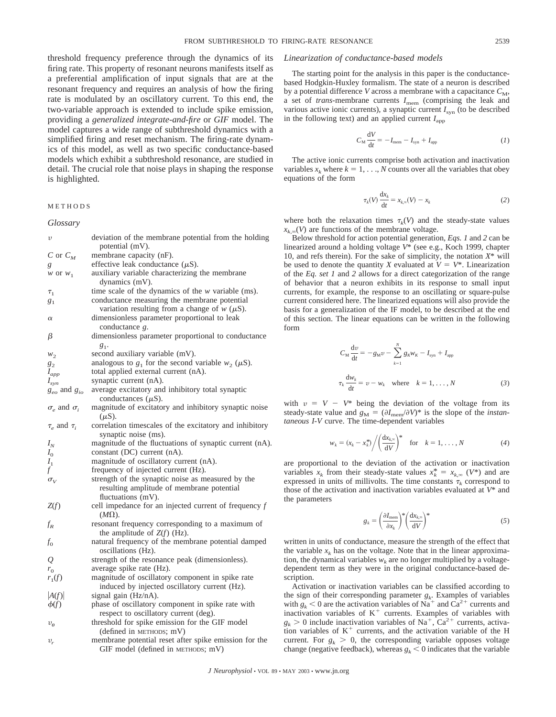threshold frequency preference through the dynamics of its firing rate. This property of resonant neurons manifests itself as a preferential amplification of input signals that are at the resonant frequency and requires an analysis of how the firing rate is modulated by an oscillatory current. To this end, the two-variable approach is extended to include spike emission, providing a *generalized integrate-and-fire* or *GIF* model. The model captures a wide range of subthreshold dynamics with a simplified firing and reset mechanism. The firing-rate dynamics of this model, as well as two specific conductance-based models which exhibit a subthreshold resonance, are studied in detail. The crucial role that noise plays in shaping the response is highlighted.

## METHODS

# *Glossary*

| $\upsilon$                | deviation of the membrane potential from the holding<br>potential (mV).                                              |
|---------------------------|----------------------------------------------------------------------------------------------------------------------|
| C or $C_M$                | membrane capacity (nF).                                                                                              |
| g                         | effective leak conductance $(\mu S)$ .                                                                               |
| $W$ or $W_1$              | auxiliary variable characterizing the membrane                                                                       |
|                           | dynamics (mV).                                                                                                       |
| $\tau_{1}$                | time scale of the dynamics of the $w$ variable (ms).                                                                 |
| $g_1$                     | conductance measuring the membrane potential                                                                         |
|                           | variation resulting from a change of $w (\mu S)$ .                                                                   |
| $\alpha$                  | dimensionless parameter proportional to leak                                                                         |
|                           | conductance g.                                                                                                       |
| β                         | dimensionless parameter proportional to conductance                                                                  |
|                           | $g_1$ .                                                                                                              |
| $W_2$                     | second auxiliary variable (mV).                                                                                      |
| $g_2$                     | analogous to $g_1$ for the second variable $w_2$ ( $\mu$ S).                                                         |
| $I_{app}$                 | total applied external current (nA).                                                                                 |
| $I_{syn}$                 | synaptic current (nA).                                                                                               |
| $g_{eo}$ and $g_{io}$     | average excitatory and inhibitory total synaptic                                                                     |
|                           | conductances $(\mu S)$ .                                                                                             |
| $\sigma_e$ and $\sigma_i$ | magnitude of excitatory and inhibitory synaptic noise<br>$(\mu S)$ .                                                 |
| $\tau_e$ and $\tau_i$     | correlation timescales of the excitatory and inhibitory<br>synaptic noise (ms).                                      |
| $I_N$                     | magnitude of the fluctuations of synaptic current (nA).                                                              |
| $I_0$                     | constant (DC) current (nA).                                                                                          |
| $I_{1}$                   | magnitude of oscillatory current (nA).                                                                               |
|                           | frequency of injected current (Hz).                                                                                  |
| $\sigma_V$                | strength of the synaptic noise as measured by the<br>resulting amplitude of membrane potential<br>fluctuations (mV). |
| Z(f)                      | cell impedance for an injected current of frequency $f$                                                              |
|                           | $(M\Omega)$ .                                                                                                        |
| $f_{\bm{R}}$              | resonant frequency corresponding to a maximum of                                                                     |
|                           | the amplitude of $Z(f)$ (Hz).                                                                                        |
| $f_{0}$                   | natural frequency of the membrane potential damped                                                                   |
|                           | oscillations (Hz).                                                                                                   |
| $\varrho$                 | strength of the resonance peak (dimensionless).                                                                      |
| $r_0$                     | average spike rate (Hz).                                                                                             |
| $r_1(f)$                  | magnitude of oscillatory component in spike rate                                                                     |
|                           | induced by injected oscillatory current (Hz).                                                                        |
| A(f)                      | signal gain (Hz/nA).                                                                                                 |
| $\phi(f)$                 | phase of oscillatory component in spike rate with                                                                    |
|                           | respect to oscillatory current (deg).                                                                                |
| $v_{\theta}$              | threshold for spike emission for the GIF model<br>(defined in METHODS; mV)                                           |

 $v_r$  membrane potential reset after spike emission for the GIF model (defined in METHODS; mV)

The starting point for the analysis in this paper is the conductancebased Hodgkin-Huxley formalism. The state of a neuron is described by a potential difference *V* across a membrane with a capacitance  $C_M$ , a set of *trans*-membrane currents  $I_{\text{mem}}$  (comprising the leak and various active ionic currents), a synaptic current  $I_{syn}$  (to be described in the following text) and an applied current  $I_{\text{app}}$ 

$$
C_{\rm M} \frac{\mathrm{d}V}{\mathrm{d}t} = -I_{\rm mem} - I_{\rm syn} + I_{\rm app} \tag{1}
$$

The active ionic currents comprise both activation and inactivation variables  $x_k$  where  $k = 1, \ldots, N$  counts over all the variables that obey equations of the form

$$
\tau_k(V) \frac{\mathrm{d}x_k}{\mathrm{d}t} = x_{k,\infty}(V) - x_k \tag{2}
$$

where both the relaxation times  $\tau_k(V)$  and the steady-state values  $x_{k,\infty}(V)$  are functions of the membrane voltage.

Below threshold for action potential generation, *Eqs. 1* and *2* can be linearized around a holding voltage *V*\* (see e.g., Koch 1999, chapter 10, and refs therein). For the sake of simplicity, the notation *X*\* will be used to denote the quantity *X* evaluated at  $V = V^*$ . Linearization of the *Eq. set 1* and *2* allows for a direct categorization of the range of behavior that a neuron exhibits in its response to small input currents, for example, the response to an oscillating or square-pulse current considered here. The linearized equations will also provide the basis for a generalization of the IF model, to be described at the end of this section. The linear equations can be written in the following form

$$
C_M \frac{dv}{dt} = -g_M v - \sum_{k=1}^N g_k w_k - I_{syn} + I_{app}
$$
  

$$
\tau_k \frac{dw_k}{dt} = v - w_k \quad \text{where} \quad k = 1, ..., N
$$
 (3)

with  $v = V - V^*$  being the deviation of the voltage from its steady-state value and  $g_M = (\partial I_{\text{mem}}/\partial V)^*$  is the slope of the *instantaneous I*-*V* curve. The time-dependent variables

$$
w_k = (x_k - x_k^*) / \left(\frac{\mathrm{d}x_k}{\mathrm{d}V}\right)^* \quad \text{for} \quad k = 1, \dots, N \tag{4}
$$

are proportional to the deviation of the activation or inactivation variables  $x_k$  from their steady-state values  $x_k^* = x_{k_\infty}$  ( $V^*$ ) and are expressed in units of millivolts. The time constants  $\tau_k$  correspond to those of the activation and inactivation variables evaluated at *V*\* and the parameters

$$
g_k = \left(\frac{\partial I_{\text{mem}}}{\partial x_k}\right)^* \left(\frac{\mathrm{d}x_{k,\infty}}{\mathrm{d}V}\right)^* \tag{5}
$$

written in units of conductance, measure the strength of the effect that the variable  $x_k$  has on the voltage. Note that in the linear approximation, the dynamical variables  $w_k$  are no longer multiplied by a voltagedependent term as they were in the original conductance-based description.

Activation or inactivation variables can be classified according to the sign of their corresponding parameter  $g_k$ . Examples of variables with  $g_k < 0$  are the activation variables of Na<sup>+</sup> and Ca<sup>2+</sup> currents and inactivation variables of  $K<sup>+</sup>$  currents. Examples of variables with  $g_k > 0$  include inactivation variables of Na<sup>+</sup>, Ca<sup>2+</sup> currents, activation variables of  $K<sup>+</sup>$  currents, and the activation variable of the H current. For  $g_k > 0$ , the corresponding variable opposes voltage change (negative feedback), whereas  $g_k < 0$  indicates that the variable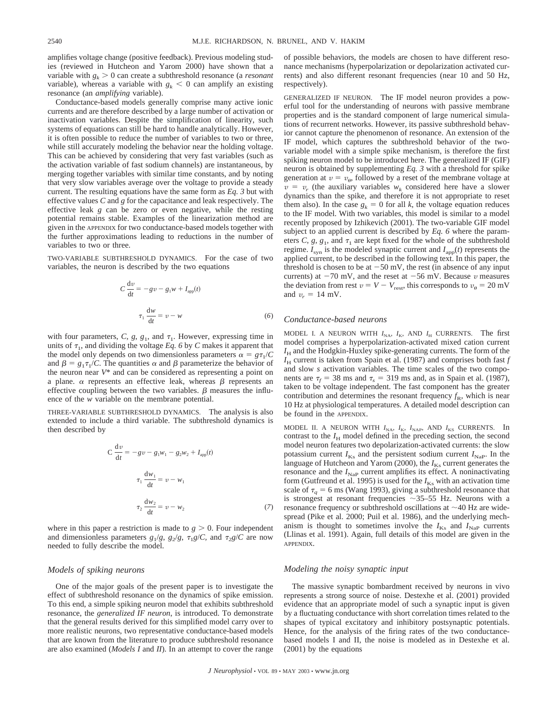amplifies voltage change (positive feedback). Previous modeling studies (reviewed in Hutcheon and Yarom 2000) have shown that a variable with  $g_k > 0$  can create a subthreshold resonance (a *resonant* variable), whereas a variable with  $g_k < 0$  can amplify an existing resonance (an *amplifying* variable).

Conductance-based models generally comprise many active ionic currents and are therefore described by a large number of activation or inactivation variables. Despite the simplification of linearity, such systems of equations can still be hard to handle analytically. However, it is often possible to reduce the number of variables to two or three, while still accurately modeling the behavior near the holding voltage. This can be achieved by considering that very fast variables (such as the activation variable of fast sodium channels) are instantaneous, by merging together variables with similar time constants, and by noting that very slow variables average over the voltage to provide a steady current. The resulting equations have the same form as *Eq. 3* but with effective values *C* and *g* for the capacitance and leak respectively. The effective leak *g* can be zero or even negative, while the resting potential remains stable. Examples of the linearization method are given in the APPENDIX for two conductance-based models together with the further approximations leading to reductions in the number of variables to two or three.

TWO-VARIABLE SUBTHRESHOLD DYNAMICS. For the case of two variables, the neuron is described by the two equations

$$
C\frac{dv}{dt} = -gv - g_1w + I_{app}(t)
$$

$$
\tau_1 \frac{dw}{dt} = v - w \tag{6}
$$

with four parameters,  $C$ ,  $g$ ,  $g_1$ , and  $\tau_1$ . However, expressing time in units of  $\tau_1$ , and dividing the voltage *Eq. 6* by *C* makes it apparent that the model only depends on two dimensionless parameters  $\alpha = g\tau_1/C$ and  $\beta = g_1 \tau_1 / C$ . The quantities  $\alpha$  and  $\beta$  parameterize the behavior of the neuron near  $V^*$  and can be considered as representing a point on a plane.  $\alpha$  represents an effective leak, whereas  $\beta$  represents an effective coupling between the two variables.  $\beta$  measures the influence of the *w* variable on the membrane potential.

THREE-VARIABLE SUBTHRESHOLD DYNAMICS. The analysis is also extended to include a third variable. The subthreshold dynamics is then described by

$$
C \frac{dv}{dt} = -gv - g_1w_1 - g_2w_2 + I_{app}(t)
$$

$$
\tau_1 \frac{dw_1}{dt} = v - w_1
$$

$$
\tau_2 \frac{dw_2}{dt} = v - w_2 \tag{7}
$$

where in this paper a restriction is made to  $g > 0$ . Four independent and dimensionless parameters  $g_1/g$ ,  $g_2/g$ ,  $\tau_1 g/C$ , and  $\tau_2 g/C$  are now needed to fully describe the model.

#### *Models of spiking neurons*

One of the major goals of the present paper is to investigate the effect of subthreshold resonance on the dynamics of spike emission. To this end, a simple spiking neuron model that exhibits subthreshold resonance, the *generalized IF neuron*, is introduced. To demonstrate that the general results derived for this simplified model carry over to more realistic neurons, two representative conductance-based models that are known from the literature to produce subthreshold resonance are also examined (*Models I* and *II*). In an attempt to cover the range of possible behaviors, the models are chosen to have different resonance mechanisms (hyperpolarization or depolarization activated currents) and also different resonant frequencies (near 10 and 50 Hz, respectively).

GENERALIZED IF NEURON. The IF model neuron provides a powerful tool for the understanding of neurons with passive membrane properties and is the standard component of large numerical simulations of recurrent networks. However, its passive subthreshold behavior cannot capture the phenomenon of resonance. An extension of the IF model, which captures the subthreshold behavior of the twovariable model with a simple spike mechanism, is therefore the first spiking neuron model to be introduced here. The generalized IF (GIF) neuron is obtained by supplementing *Eq. 3* with a threshold for spike generation at  $v = v_{\theta}$ , followed by a reset of the membrane voltage at  $v = v_r$  (the auxiliary variables  $w_k$  considered here have a slower dynamics than the spike, and therefore it is not appropriate to reset them also). In the case  $g_k = 0$  for all *k*, the voltage equation reduces to the IF model. With two variables, this model is similar to a model recently proposed by Izhikevich (2001). The two-variable GIF model subject to an applied current is described by *Eq. 6* where the parameters *C*, *g*, *g*<sub>1</sub>, and  $\tau$ <sub>1</sub> are kept fixed for the whole of the subthreshold regime.  $I_{syn}$  is the modeled synaptic current and  $I_{app}(t)$  represents the applied current, to be described in the following text. In this paper, the threshold is chosen to be at  $-50$  mV, the rest (in absence of any input currents) at  $-70$  mV, and the reset at  $-56$  mV. Because  $v$  measures the deviation from rest  $v = V - V_{\text{rest}}$ , this corresponds to  $v_{\theta} = 20 \text{ mV}$ and  $v_r = 14$  mV.

#### *Conductance-based neurons*

MODEL I. A NEURON WITH  $I_{NA}$ ,  $I_K$ , AND  $I_H$  CURRENTS. The first model comprises a hyperpolarization-activated mixed cation current  $I_H$  and the Hodgkin-Huxley spike-generating currents. The form of the  $I_H$  current is taken from Spain et al. (1987) and comprises both fast *f* and slow *s* activation variables. The time scales of the two components are  $\tau_f = 38$  ms and  $\tau_s = 319$  ms and, as in Spain et al. (1987), taken to be voltage independent. The fast component has the greater contribution and determines the resonant frequency  $f_{\rm R}$ , which is near 10 Hz at physiological temperatures. A detailed model description can be found in the APPENDIX.

MODEL II. A NEURON WITH  $I_{NA}$ ,  $I_{K}$ ,  $I_{NAP}$ , AND  $I_{KS}$  CURRENTS. In contrast to the  $I<sub>H</sub>$  model defined in the preceding section, the second model neuron features two depolarization-activated currents: the slow potassium current  $I_{Ks}$  and the persistent sodium current  $I_{NaP}$ . In the language of Hutcheon and Yarom (2000), the  $I_{Ks}$  current generates the resonance and the  $I_{\text{NaP}}$  current amplifies its effect. A noninactivating form (Gutfreund et al. 1995) is used for the  $I_{Ks}$  with an activation time scale of  $\tau_q = 6$  ms (Wang 1993), giving a subthreshold resonance that is strongest at resonant frequencies  $\sim$ 35–55 Hz. Neurons with a resonance frequency or subthreshold oscillations at  $\sim$ 40 Hz are widespread (Pike et al. 2000; Puil et al. 1986), and the underlying mechanism is thought to sometimes involve the  $I_{Ks}$  and  $I_{Nap}$  currents (Llinas et al. 1991). Again, full details of this model are given in the APPENDIX.

#### *Modeling the noisy synaptic input*

The massive synaptic bombardment received by neurons in vivo represents a strong source of noise. Destexhe et al. (2001) provided evidence that an appropriate model of such a synaptic input is given by a fluctuating conductance with short correlation times related to the shapes of typical excitatory and inhibitory postsynaptic potentials. Hence, for the analysis of the firing rates of the two conductancebased models I and II, the noise is modeled as in Destexhe et al. (2001) by the equations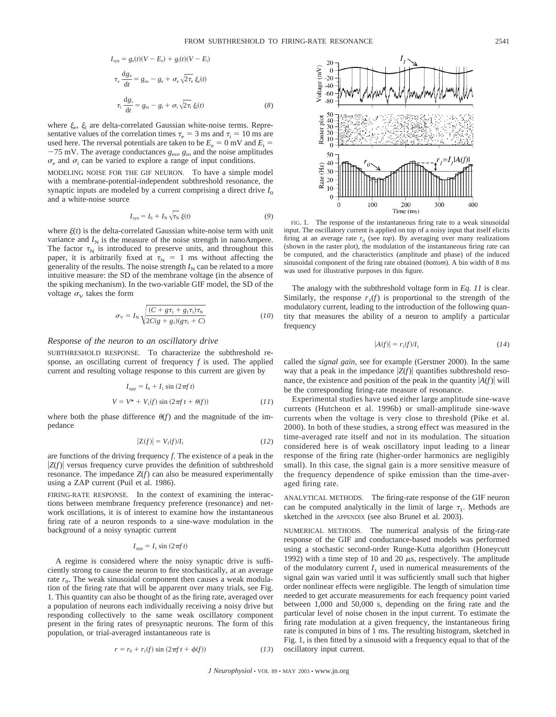$$
I_{syn} = g_e(t)(V - E_e) + g_i(t)(V - E_i)
$$
  
\n
$$
\tau_e \frac{dg_e}{dt} = g_{eo} - g_e + \sigma_e \sqrt{2\tau_e} \xi_e(t)
$$
  
\n
$$
\tau_i \frac{dg_i}{dt} = g_{io} - g_i + \sigma_i \sqrt{2\tau_i} \xi_i(t)
$$
\n(8)

where  $\xi_e$ ,  $\xi_i$  are delta-correlated Gaussian white-noise terms. Representative values of the correlation times  $\tau_e = 3$  ms and  $\tau_i = 10$  ms are used here. The reversal potentials are taken to be  $E_e = 0$  mV and  $E_i =$  $-75$  mV. The average conductances  $g_{\text{eo}}$ ,  $g_{\text{io}}$  and the noise amplitudes  $\sigma_{\rm e}$  and  $\sigma_{\rm i}$  can be varied to explore a range of input conditions.

MODELING NOISE FOR THE GIF NEURON. To have a simple model with a membrane-potential-independent subthreshold resonance, the synaptic inputs are modeled by a current comprising a direct drive  $I_0$ and a white-noise source

$$
I_{\rm syn} = I_0 + I_{\rm N} \sqrt{\tau_{\rm N}} \xi(t) \tag{9}
$$

where  $\xi(t)$  is the delta-correlated Gaussian white-noise term with unit variance and  $I_N$  is the measure of the noise strength in nanoAmpere. The factor  $\tau_N$  is introduced to preserve units, and throughout this paper, it is arbitrarily fixed at  $\tau_N = 1$  ms without affecting the generality of the results. The noise strength  $I_N$  can be related to a more intuitive measure: the SD of the membrane voltage (in the absence of the spiking mechanism). In the two-variable GIF model, the SD of the voltage  $\sigma_{\rm V}$  takes the form

$$
\sigma_{\rm V} = I_{\rm N} \sqrt{\frac{(C + g\tau_{\rm I} + g_{\rm I}\tau_{\rm I})\tau_{\rm N}}{2C(g + g_{\rm I})(g\tau_{\rm I} + C)}}
$$
(10)

#### *Response of the neuron to an oscillatory drive*

SUBTHRESHOLD RESPONSE. To characterize the subthreshold response, an oscillating current of frequency *f* is used. The applied current and resulting voltage response to this current are given by

$$
I_{app} = I_0 + I_1 \sin(2\pi ft)
$$
  

$$
V = V^* + V_1(f) \sin(2\pi ft + \theta(f))
$$
 (11)

where both the phase difference  $\theta(f)$  and the magnitude of the impedance

$$
|Z(f)| = V_1(f)/I_1 \tag{12}
$$

are functions of the driving frequency *f*. The existence of a peak in the *Z*(*f*) versus frequency curve provides the definition of subthreshold resonance. The impedance *Z*(*f*) can also be measured experimentally using a ZAP current (Puil et al. 1986).

FIRING-RATE RESPONSE. In the context of examining the interactions between membrane frequency preference (resonance) and network oscillations, it is of interest to examine how the instantaneous firing rate of a neuron responds to a sine-wave modulation in the background of a noisy synaptic current

$$
I_{app} = I_1 \sin(2\pi f t)
$$

A regime is considered where the noisy synaptic drive is sufficiently strong to cause the neuron to fire stochastically, at an average rate  $r_0$ . The weak sinusoidal component then causes a weak modulation of the firing rate that will be apparent over many trials, see Fig. 1. This quantity can also be thought of as the firing rate, averaged over a population of neurons each individually receiving a noisy drive but responding collectively to the same weak oscillatory component present in the firing rates of presynaptic neurons. The form of this population, or trial-averaged instantaneous rate is

$$
r = r_0 + r_1(f) \sin(2\pi ft + \phi(f))
$$
 (13)



FIG. 1. The response of the instantaneous firing rate to a weak sinusoidal input. The oscillatory current is applied on top of a noisy input that itself elicits firing at an average rate  $r_0$  (see *top*). By averaging over many realizations (shown in the raster plot), the modulation of the instantaneous firing rate can be computed, and the characteristics (amplitude and phase) of the induced sinusoidal component of the firing rate obtained (*bottom*). A bin width of 8 ms was used for illustrative purposes in this figure.

The analogy with the subthreshold voltage form in *Eq. 11* is clear. Similarly, the response  $r_1(f)$  is proportional to the strength of the modulatory current, leading to the introduction of the following quantity that measures the ability of a neuron to amplify a particular frequency

$$
|A(f)| = r_1(f)/I_1 \tag{14}
$$

called the *signal gain*, see for example (Gerstner 2000). In the same way that a peak in the impedance  $|Z(f)|$  quantifies subthreshold resonance, the existence and position of the peak in the quantity  $|A(f)|$  will be the corresponding firing-rate measure of resonance.

Experimental studies have used either large amplitude sine-wave currents (Hutcheon et al. 1996b) or small-amplitude sine-wave currents when the voltage is very close to threshold (Pike et al. 2000). In both of these studies, a strong effect was measured in the time-averaged rate itself and not in its modulation. The situation considered here is of weak oscillatory input leading to a linear response of the firing rate (higher-order harmonics are negligibly small). In this case, the signal gain is a more sensitive measure of the frequency dependence of spike emission than the time-averaged firing rate.

ANALYTICAL METHODS. The firing-rate response of the GIF neuron can be computed analytically in the limit of large  $\tau_1$ . Methods are sketched in the APPENDIX (see also Brunel et al. 2003).

NUMERICAL METHODS. The numerical analysis of the firing-rate response of the GIF and conductance-based models was performed using a stochastic second-order Runge-Kutta algorithm (Honeycutt 1992) with a time step of 10 and 20  $\mu$ s, respectively. The amplitude of the modulatory current  $I_1$  used in numerical measurements of the signal gain was varied until it was sufficiently small such that higher order nonlinear effects were negligible. The length of simulation time needed to get accurate measurements for each frequency point varied between 1,000 and 50,000 s, depending on the firing rate and the particular level of noise chosen in the input current. To estimate the firing rate modulation at a given frequency, the instantaneous firing rate is computed in bins of 1 ms. The resulting histogram, sketched in Fig. 1, is then fitted by a sinusoid with a frequency equal to that of the oscillatory input current.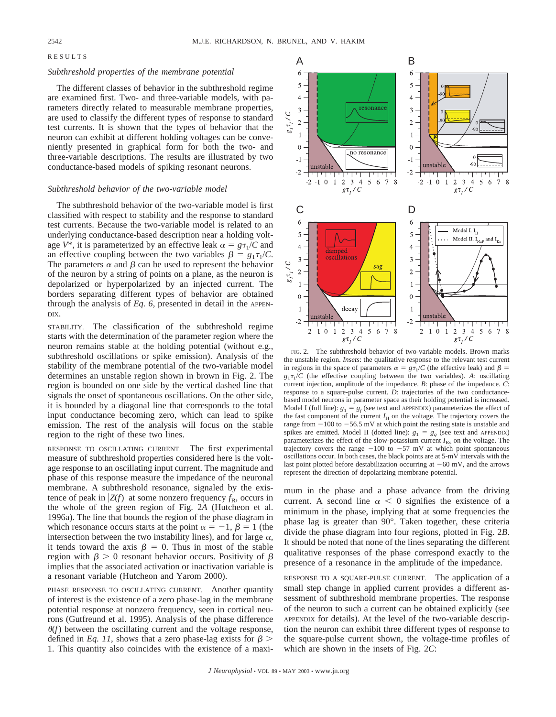# RESULTS

# *Subthreshold properties of the membrane potential*

The different classes of behavior in the subthreshold regime are examined first. Two- and three-variable models, with parameters directly related to measurable membrane properties, are used to classify the different types of response to standard test currents. It is shown that the types of behavior that the neuron can exhibit at different holding voltages can be conveniently presented in graphical form for both the two- and three-variable descriptions. The results are illustrated by two conductance-based models of spiking resonant neurons.

#### *Subthreshold behavior of the two-variable model*

The subthreshold behavior of the two-variable model is first classified with respect to stability and the response to standard test currents. Because the two-variable model is related to an underlying conductance-based description near a holding voltage  $V^*$ , it is parameterized by an effective leak  $\alpha = g\tau_1/C$  and an effective coupling between the two variables  $\beta = g_1 \tau_1 / C$ . The parameters  $\alpha$  and  $\beta$  can be used to represent the behavior of the neuron by a string of points on a plane, as the neuron is depolarized or hyperpolarized by an injected current. The borders separating different types of behavior are obtained through the analysis of *Eq. 6*, presented in detail in the APPEN-DIX.

STABILITY. The classification of the subthreshold regime starts with the determination of the parameter region where the neuron remains stable at the holding potential (without e.g., subthreshold oscillations or spike emission). Analysis of the stability of the membrane potential of the two-variable model determines an unstable region shown in brown in Fig. 2. The region is bounded on one side by the vertical dashed line that signals the onset of spontaneous oscillations. On the other side, it is bounded by a diagonal line that corresponds to the total input conductance becoming zero, which can lead to spike emission. The rest of the analysis will focus on the stable region to the right of these two lines.

RESPONSE TO OSCILLATING CURRENT. The first experimental measure of subthreshold properties considered here is the voltage response to an oscillating input current. The magnitude and phase of this response measure the impedance of the neuronal membrane. A subthreshold resonance, signaled by the existence of peak in  $|Z(f)|$  at some nonzero frequency  $f_R$ , occurs in the whole of the green region of Fig. 2*A* (Hutcheon et al. 1996a). The line that bounds the region of the phase diagram in which resonance occurs starts at the point  $\alpha = -1$ ,  $\beta = 1$  (the intersection between the two instability lines), and for large  $\alpha$ , it tends toward the axis  $\beta = 0$ . Thus in most of the stable region with  $\beta > 0$  resonant behavior occurs. Positivity of  $\beta$ implies that the associated activation or inactivation variable is a resonant variable (Hutcheon and Yarom 2000).

PHASE RESPONSE TO OSCILLATING CURRENT. Another quantity of interest is the existence of a zero phase-lag in the membrane potential response at nonzero frequency, seen in cortical neurons (Gutfreund et al. 1995). Analysis of the phase difference  $\theta(f)$  between the oscillating current and the voltage response, defined in *Eq. 11*, shows that a zero phase-lag exists for  $\beta$  > 1. This quantity also coincides with the existence of a maxi-



FIG. 2. The subthreshold behavior of two-variable models. Brown marks the unstable region. *Insets*: the qualitative response to the relevant test current in regions in the space of parameters  $\alpha = g\tau_1/C$  (the effective leak) and  $\beta =$  $g_1 \tau_1 / C$  (the effective coupling between the two variables). *A*: oscillating current injection, amplitude of the impedance. *B*: phase of the impedance. *C*: response to a square-pulse current. *D*: trajectories of the two conductancebased model neurons in parameter space as their holding potential is increased. Model I (full line):  $g_1 = g_f$  (see text and APPENDIX) parameterizes the effect of the fast component of the current  $I_H$  on the voltage. The trajectory covers the range from  $-100$  to  $-56.5$  mV at which point the resting state is unstable and spikes are emitted. Model II (dotted line):  $g_1 = g_a$  (see text and APPENDIX) parameterizes the effect of the slow-potassium current  $I_{Ks}$  on the voltage. The trajectory covers the range  $-100$  to  $-57$  mV at which point spontaneous oscillations occur. In both cases, the black points are at  $5-m\overline{V}$  intervals with the last point plotted before destabilization occurring at  $-60$  mV, and the arrows represent the direction of depolarizing membrane potential.

mum in the phase and a phase advance from the driving current. A second line  $\alpha$  < 0 signifies the existence of a minimum in the phase, implying that at some frequencies the phase lag is greater than 90°. Taken together, these criteria divide the phase diagram into four regions, plotted in Fig. 2*B*. It should be noted that none of the lines separating the different qualitative responses of the phase correspond exactly to the presence of a resonance in the amplitude of the impedance.

RESPONSE TO A SQUARE-PULSE CURRENT. The application of a small step change in applied current provides a different assessment of subthreshold membrane properties. The response of the neuron to such a current can be obtained explicitly (see APPENDIX for details). At the level of the two-variable description the neuron can exhibit three different types of response to the square-pulse current shown, the voltage-time profiles of which are shown in the insets of Fig. 2*C*: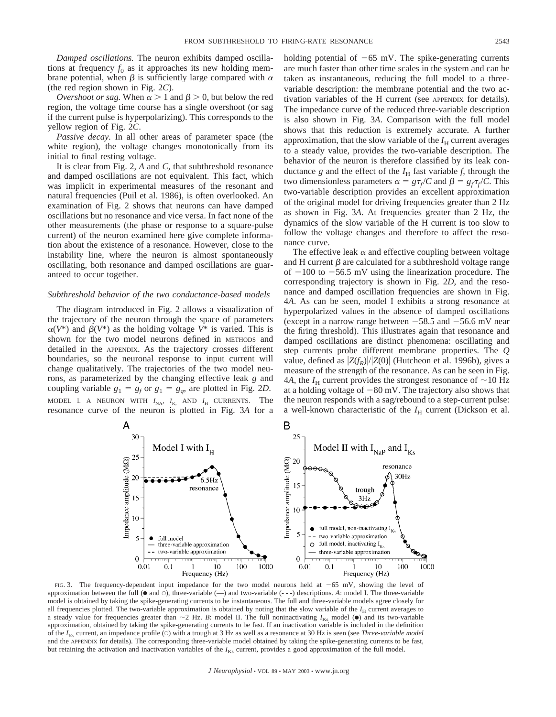*Damped oscillations.* The neuron exhibits damped oscillations at frequency  $f_0$  as it approaches its new holding membrane potential, when  $\beta$  is sufficiently large compared with  $\alpha$ (the red region shown in Fig. 2*C*).

*Overshoot or sag.* When  $\alpha > 1$  and  $\beta > 0$ , but below the red region, the voltage time course has a single overshoot (or sag if the current pulse is hyperpolarizing). This corresponds to the yellow region of Fig. 2*C*.

*Passive decay.* In all other areas of parameter space (the white region), the voltage changes monotonically from its initial to final resting voltage.

It is clear from Fig. 2, *A* and *C,* that subthreshold resonance and damped oscillations are not equivalent. This fact, which was implicit in experimental measures of the resonant and natural frequencies (Puil et al. 1986), is often overlooked. An examination of Fig. 2 shows that neurons can have damped oscillations but no resonance and vice versa. In fact none of the other measurements (the phase or response to a square-pulse current) of the neuron examined here give complete information about the existence of a resonance. However, close to the instability line, where the neuron is almost spontaneously oscillating, both resonance and damped oscillations are guaranteed to occur together.

# *Subthreshold behavior of the two conductance-based models*

The diagram introduced in Fig. 2 allows a visualization of the trajectory of the neuron through the space of parameters  $\alpha(V^*)$  and  $\beta(V^*)$  as the holding voltage  $V^*$  is varied. This is shown for the two model neurons defined in METHODS and detailed in the APPENDIX. As the trajectory crosses different boundaries, so the neuronal response to input current will change qualitatively. The trajectories of the two model neurons, as parameterized by the changing effective leak *g* and coupling variable  $g_1 = g_f$  or  $g_1 = g_q$ , are plotted in Fig. 2*D*. MODEL I. A NEURON WITH  $I_{NA}$ ,  $I_{K}$ , AND  $I_H$  CURRENTS. The resonance curve of the neuron is plotted in Fig. 3*A* for a

holding potential of  $-65$  mV. The spike-generating currents are much faster than other time scales in the system and can be taken as instantaneous, reducing the full model to a threevariable description: the membrane potential and the two activation variables of the H current (see APPENDIX for details). The impedance curve of the reduced three-variable description is also shown in Fig. 3*A*. Comparison with the full model shows that this reduction is extremely accurate. A further approximation, that the slow variable of the  $I<sub>H</sub>$  current averages to a steady value, provides the two-variable description. The behavior of the neuron is therefore classified by its leak conductance *g* and the effect of the  $I_H$  fast variable *f*, through the two dimensionless parameters  $\alpha = g\tau_f/C$  and  $\beta = g_f\tau_f/C$ . This two-variable description provides an excellent approximation of the original model for driving frequencies greater than 2 Hz as shown in Fig. 3*A*. At frequencies greater than 2 Hz, the dynamics of the slow variable of the H current is too slow to follow the voltage changes and therefore to affect the resonance curve.

The effective leak  $\alpha$  and effective coupling between voltage and H current  $\beta$  are calculated for a subthreshold voltage range of  $-100$  to  $-56.5$  mV using the linearization procedure. The corresponding trajectory is shown in Fig. 2*D,* and the resonance and damped oscillation frequencies are shown in Fig. 4*A*. As can be seen, model I exhibits a strong resonance at hyperpolarized values in the absence of damped oscillations (except in a narrow range between  $-58.5$  and  $-56.6$  mV near the firing threshold). This illustrates again that resonance and damped oscillations are distinct phenomena: oscillating and step currents probe different membrane properties. The *Q* value, defined as  $|Z(f_R)|/|Z(0)|$  (Hutcheon et al. 1996b), gives a measure of the strength of the resonance. As can be seen in Fig. 4*A*, the  $I_H$  current provides the strongest resonance of  $\sim$  10 Hz at a holding voltage of  $-80$  mV. The trajectory also shows that the neuron responds with a sag/rebound to a step-current pulse: a well-known characteristic of the  $I<sub>H</sub>$  current (Dickson et al.



FIG. 3. The frequency-dependent input impedance for the two model neurons held at  $-65$  mV, showing the level of approximation between the full  $(\bullet$  and  $\circ)$ , three-variable  $(\leftarrow)$  and two-variable  $(- \cdot -)$  descriptions. *A*: model I. The three-variable model is obtained by taking the spike-generating currents to be instantaneous. The full and three-variable models agree closely for all frequencies plotted. The two-variable approximation is obtained by noting that the slow variable of the  $I<sub>H</sub>$  current averages to a steady value for frequencies greater than  $\sim$ 2 Hz. *B*: model II. The full noninactivating  $I_{Ks}$  model ( $\bullet$ ) and its two-variable approximation, obtained by taking the spike-generating currents to be fast. If an inactivation variable is included in the definition of the *I*Ks current, an impedance profile (E) with a trough at 3 Hz as well as a resonance at 30 Hz is seen (see *Three-variable model* and the APPENDIX for details). The corresponding three-variable model obtained by taking the spike-generating currents to be fast, but retaining the activation and inactivation variables of the *I*<sub>Ks</sub> current, provides a good approximation of the full model.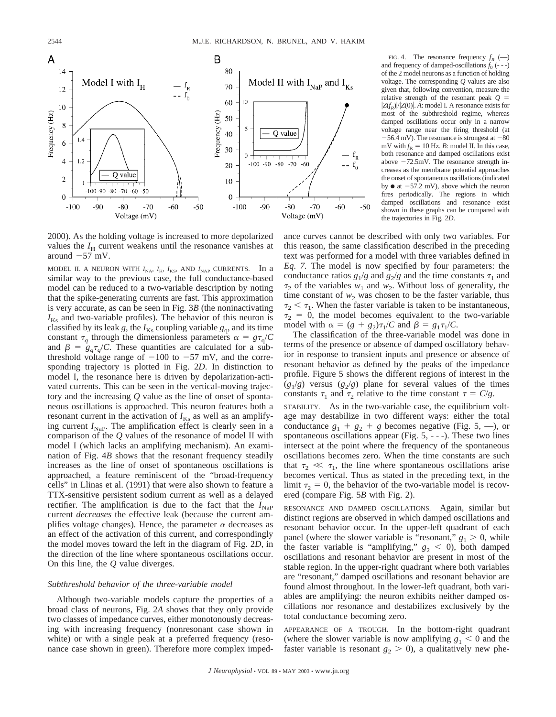

2000). As the holding voltage is increased to more depolarized values the  $I_{\rm H}$  current weakens until the resonance vanishes at around  $-57$  mV.

MODEL II. A NEURON WITH  $I_{NA}$ ,  $I_{K}$ ,  $I_{KS}$ , AND  $I_{NAP}$  CURRENTS. In a similar way to the previous case, the full conductance-based model can be reduced to a two-variable description by noting that the spike-generating currents are fast. This approximation is very accurate, as can be seen in Fig. 3*B* (the noninactivating  $I_{Ks}$  and two-variable profiles). The behavior of this neuron is classified by its leak *g*, the  $I_{Ks}$  coupling variable  $g_q$ , and its time constant  $\tau_q$  through the dimensionless parameters  $\alpha = g \tau_q / C$ and  $\beta = g_q \tau_q / C$ . These quantities are calculated for a subthreshold voltage range of  $-100$  to  $-57$  mV, and the corresponding trajectory is plotted in Fig. 2*D*. In distinction to model I, the resonance here is driven by depolarization-activated currents. This can be seen in the vertical-moving trajectory and the increasing *Q* value as the line of onset of spontaneous oscillations is approached. This neuron features both a resonant current in the activation of  $I_{Ks}$  as well as an amplifying current  $I_{\text{NaP}}$ . The amplification effect is clearly seen in a comparison of the *Q* values of the resonance of model II with model I (which lacks an amplifying mechanism). An examination of Fig. 4*B* shows that the resonant frequency steadily increases as the line of onset of spontaneous oscillations is approached, a feature reminiscent of the "broad-frequency cells" in Llinas et al. (1991) that were also shown to feature a TTX-sensitive persistent sodium current as well as a delayed rectifier. The amplification is due to the fact that the  $I_{\text{NaP}}$ current *decreases* the effective leak (because the current amplifies voltage changes). Hence, the parameter  $\alpha$  decreases as an effect of the activation of this current, and correspondingly the model moves toward the left in the diagram of Fig. 2*D*, in the direction of the line where spontaneous oscillations occur. On this line, the *Q* value diverges.

### *Subthreshold behavior of the three-variable model*

Although two-variable models capture the properties of a broad class of neurons, Fig. 2*A* shows that they only provide two classes of impedance curves, either monotonously decreasing with increasing frequency (nonresonant case shown in white) or with a single peak at a preferred frequency (resonance case shown in green). Therefore more complex imped-

FIG. 4. The resonance frequency  $f_R$  (--) and frequency of damped-oscillations  $f_0$  (- - -) of the 2 model neurons as a function of holding voltage. The corresponding *Q* values are also given that, following convention, measure the relative strength of the resonant peak *Q*  $|Z(f_R)|/|Z(0)|$ . *A*: model I. A resonance exists for most of the subthreshold regime, whereas damped oscillations occur only in a narrow voltage range near the firing threshold (at  $-56.4$  mV). The resonance is strongest at  $-80$ mV with  $f_R = 10$  Hz. *B*: model II. In this case, both resonance and damped oscillations exist above  $-72.5$ mV. The resonance strength increases as the membrane potential approaches the onset of spontaneous oscillations (indicated by  $\bullet$  at  $-57.2$  mV), above which the neuron fires periodically. The regions in which damped oscillations and resonance exist shown in these graphs can be compared with the trajectories in Fig. 2*D*.

ance curves cannot be described with only two variables. For this reason, the same classification described in the preceding text was performed for a model with three variables defined in *Eq. 7.* The model is now specified by four parameters: the conductance ratios  $g_1/g$  and  $g_2/g$  and the time constants  $\tau_1$  and  $\tau_2$  of the variables  $w_1$  and  $w_2$ . Without loss of generality, the time constant of  $w_2$  was chosen to be the faster variable, thus  $\tau_2 < \tau_1$ . When the faster variable is taken to be instantaneous,  $\tau_2 = 0$ , the model becomes equivalent to the two-variable model with  $\alpha = (g + g_2)\tau_1/C$  and  $\beta = g_1\tau_1/C$ .

The classification of the three-variable model was done in terms of the presence or absence of damped oscillatory behavior in response to transient inputs and presence or absence of resonant behavior as defined by the peaks of the impedance profile. Figure 5 shows the different regions of interest in the  $(g_1/g)$  versus  $(g_2/g)$  plane for several values of the times constants  $\tau_1$  and  $\tau_2$  relative to the time constant  $\tau = C/g$ .

STABILITY. As in the two-variable case, the equilibrium voltage may destabilize in two different ways: either the total conductance  $g_1 + g_2 + g$  becomes negative (Fig. 5, -), or spontaneous oscillations appear (Fig. 5, - - -). These two lines intersect at the point where the frequency of the spontaneous oscillations becomes zero. When the time constants are such that  $\tau_2 \ll \tau_1$ , the line where spontaneous oscillations arise becomes vertical. Thus as stated in the preceding text, in the limit  $\tau_2 = 0$ , the behavior of the two-variable model is recovered (compare Fig. 5*B* with Fig. 2).

RESONANCE AND DAMPED OSCILLATIONS. Again, similar but distinct regions are observed in which damped oscillations and resonant behavior occur. In the upper-left quadrant of each panel (where the slower variable is "resonant,"  $g_1 > 0$ , while the faster variable is "amplifying,"  $g_2 < 0$ ), both damped oscillations and resonant behavior are present in most of the stable region. In the upper-right quadrant where both variables are "resonant," damped oscillations and resonant behavior are found almost throughout. In the lower-left quadrant, both variables are amplifying: the neuron exhibits neither damped oscillations nor resonance and destabilizes exclusively by the total conductance becoming zero.

APPEARANCE OF A TROUGH. In the bottom-right quadrant (where the slower variable is now amplifying  $g_1 < 0$  and the faster variable is resonant  $g_2 > 0$ ), a qualitatively new phe-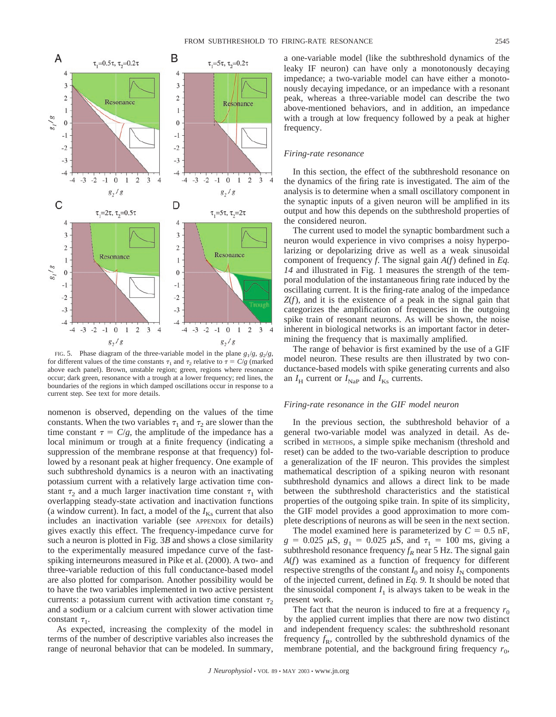

FIG. 5. Phase diagram of the three-variable model in the plane  $g_1/g$ ,  $g_2/g$ , for different values of the time constants  $\tau_1$  and  $\tau_2$  relative to  $\tau = C/g$  (marked above each panel). Brown, unstable region; green, regions where resonance occur; dark green, resonance with a trough at a lower frequency; red lines, the boundaries of the regions in which damped oscillations occur in response to a current step. See text for more details.

nomenon is observed, depending on the values of the time constants. When the two variables  $\tau_1$  and  $\tau_2$  are slower than the time constant  $\tau = C/g$ , the amplitude of the impedance has a local minimum or trough at a finite frequency (indicating a suppression of the membrane response at that frequency) followed by a resonant peak at higher frequency. One example of such subthreshold dynamics is a neuron with an inactivating potassium current with a relatively large activation time constant  $\tau_2$  and a much larger inactivation time constant  $\tau_1$  with overlapping steady-state activation and inactivation functions (a window current). In fact, a model of the  $I_{Ks}$  current that also includes an inactivation variable (see APPENDIX for details) gives exactly this effect. The frequency-impedance curve for such a neuron is plotted in Fig. 3*B* and shows a close similarity to the experimentally measured impedance curve of the fastspiking interneurons measured in Pike et al. (2000). A two- and three-variable reduction of this full conductance-based model are also plotted for comparison. Another possibility would be to have the two variables implemented in two active persistent currents: a potassium current with activation time constant  $\tau_2$ and a sodium or a calcium current with slower activation time constant  $\tau_1$ .

As expected, increasing the complexity of the model in terms of the number of descriptive variables also increases the range of neuronal behavior that can be modeled. In summary, a one-variable model (like the subthreshold dynamics of the leaky IF neuron) can have only a monotonously decaying impedance; a two-variable model can have either a monotonously decaying impedance, or an impedance with a resonant peak, whereas a three-variable model can describe the two above-mentioned behaviors, and in addition, an impedance with a trough at low frequency followed by a peak at higher frequency.

## *Firing-rate resonance*

In this section, the effect of the subthreshold resonance on the dynamics of the firing rate is investigated. The aim of the analysis is to determine when a small oscillatory component in the synaptic inputs of a given neuron will be amplified in its output and how this depends on the subthreshold properties of the considered neuron.

The current used to model the synaptic bombardment such a neuron would experience in vivo comprises a noisy hyperpolarizing or depolarizing drive as well as a weak sinusoidal component of frequency *f*. The signal gain *A*(*f*) defined in *Eq. 14* and illustrated in Fig. 1 measures the strength of the temporal modulation of the instantaneous firing rate induced by the oscillating current. It is the firing-rate analog of the impedance *Z*(*f*), and it is the existence of a peak in the signal gain that categorizes the amplification of frequencies in the outgoing spike train of resonant neurons. As will be shown, the noise inherent in biological networks is an important factor in determining the frequency that is maximally amplified.

The range of behavior is first examined by the use of a GIF model neuron. These results are then illustrated by two conductance-based models with spike generating currents and also an  $I_{\rm H}$  current or  $I_{\rm NaP}$  and  $I_{\rm Ks}$  currents.

#### *Firing-rate resonance in the GIF model neuron*

In the previous section, the subthreshold behavior of a general two-variable model was analyzed in detail. As described in METHODS, a simple spike mechanism (threshold and reset) can be added to the two-variable description to produce a generalization of the IF neuron. This provides the simplest mathematical description of a spiking neuron with resonant subthreshold dynamics and allows a direct link to be made between the subthreshold characteristics and the statistical properties of the outgoing spike train. In spite of its simplicity, the GIF model provides a good approximation to more complete descriptions of neurons as will be seen in the next section.

The model examined here is parameterized by  $C = 0.5$  nF,  $g = 0.025 \mu S$ ,  $g_1 = 0.025 \mu S$ , and  $\tau_1 = 100 \text{ ms}$ , giving a subthreshold resonance frequency  $f_R$  near 5 Hz. The signal gain *A*(*f*) was examined as a function of frequency for different respective strengths of the constant  $I_0$  and noisy  $I_N$  components of the injected current, defined in *Eq. 9.* It should be noted that the sinusoidal component  $I_1$  is always taken to be weak in the present work.

The fact that the neuron is induced to fire at a frequency  $r_0$ by the applied current implies that there are now two distinct and independent frequency scales: the subthreshold resonant frequency  $f_{\rm R}$ , controlled by the subthreshold dynamics of the membrane potential, and the background firing frequency  $r_0$ ,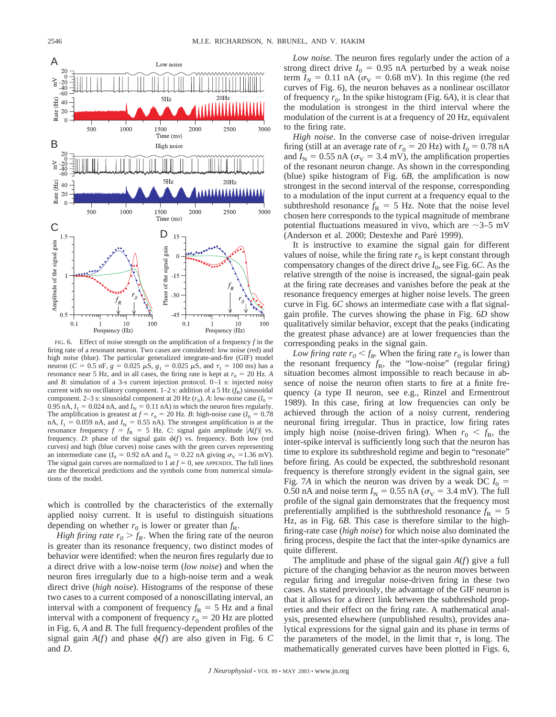

FIG. 6. Effect of noise strength on the amplification of a frequency *f* in the firing rate of a resonant neuron. Two cases are considered: low noise (red) and high noise (blue). The particular generalized integrate-and-fire (GIF) model neuron (*C* = 0.5 nF,  $g = 0.025 \mu S$ ,  $g_1 = 0.025 \mu S$ , and  $\tau_1 = 100 \text{ ms}$ ) has a resonance near 5 Hz, and in all cases, the firing rate is kept at  $r_0 = 20$  Hz. *A* and *B*: simulation of a 3-s current injection protocol. 0–1 s: injected noisy current with no oscillatory component.  $1-2$  s: addition of a 5 Hz  $(f_R)$  sinusoidal component. 2–3 s: sinusoidal component at 20 Hz  $(r_0)$ . A: low-noise case  $(I_0 =$ 0.95 nA,  $I_1 = 0.024$  nA, and  $I_N = 0.11$  nA) in which the neuron fires regularly. The amplification is greatest at  $f = r_0 = 20$  Hz. *B*: high-noise case ( $I_0 = 0.78$ ) nA,  $I_1 = 0.059$  nA, and  $I_N = 0.55$  nA). The strongest amplification is at the resonance frequency  $f = f_{\text{R}} = 5$  Hz. *C*: signal gain amplitude  $|A(f)|$  vs. frequency. *D*: phase of the signal gain (*f*) vs. frequency. Both low (red curves) and high (blue curves) noise cases with the green curves representing an intermediate case  $(I_0 = 0.92 \text{ nA} \text{ and } I_N = 0.22 \text{ nA} \text{ giving } \sigma_{\text{V}} = 1.36 \text{ mV}.$ The signal gain curves are normalized to 1 at  $f = 0$ , see APPENDIX. The full lines are the theoretical predictions and the symbols come from numerical simulations of the model.

which is controlled by the characteristics of the externally applied noisy current. It is useful to distinguish situations depending on whether  $r_0$  is lower or greater than  $f_R$ .

*High firing rate*  $r_0 > f_R$ . When the firing rate of the neuron is greater than its resonance frequency, two distinct modes of behavior were identified: when the neuron fires regularly due to a direct drive with a low-noise term (*low noise*) and when the neuron fires irregularly due to a high-noise term and a weak direct drive (*high noise*). Histograms of the response of these two cases to a current composed of a nonoscillating interval, an interval with a component of frequency  $f_{\rm R} = 5$  Hz and a final interval with a component of frequency  $r_0 = 20$  Hz are plotted in Fig. 6, *A* and *B.* The full frequency-dependent profiles of the signal gain  $A(f)$  and phase  $\phi(f)$  are also given in Fig. 6 C and *D*.

*Low noise.* The neuron fires regularly under the action of a strong direct drive  $I_0 = 0.95$  nA perturbed by a weak noise term  $I_N = 0.11$  nA ( $\sigma_V = 0.68$  mV). In this regime (the red curves of Fig. 6), the neuron behaves as a nonlinear oscillator of frequency  $r_0$ . In the spike histogram (Fig. 6A), it is clear that the modulation is strongest in the third interval where the modulation of the current is at a frequency of 20 Hz, equivalent to the firing rate.

*High noise.* In the converse case of noise-driven irregular firing (still at an average rate of  $r_0 = 20$  Hz) with  $I_0 = 0.78$  nA and  $I_N = 0.55$  nA ( $\sigma_V = 3.4$  mV), the amplification properties of the resonant neuron change. As shown in the corresponding (blue) spike histogram of Fig. 6*B,* the amplification is now strongest in the second interval of the response, corresponding to a modulation of the input current at a frequency equal to the subthreshold resonance  $f_R = 5$  Hz. Note that the noise level chosen here corresponds to the typical magnitude of membrane potential fluctuations measured in vivo, which are  $\sim$ 3–5 mV (Anderson et al. 2000; Destexhe and Paré 1999).

It is instructive to examine the signal gain for different values of noise, while the firing rate  $r_0$  is kept constant through compensatory changes of the direct drive  $I_0$ , see Fig. 6*C*. As the relative strength of the noise is increased, the signal-gain peak at the firing rate decreases and vanishes before the peak at the resonance frequency emerges at higher noise levels. The green curve in Fig. 6*C* shows an intermediate case with a flat signalgain profile. The curves showing the phase in Fig. 6*D* show qualitatively similar behavior, except that the peaks (indicating the greatest phase advance) are at lower frequencies than the corresponding peaks in the signal gain.

*Low firing rate*  $r_0 \leq f_R$ . When the firing rate  $r_0$  is lower than the resonant frequency  $f_R$ , the "low-noise" (regular firing) situation becomes almost impossible to reach because in absence of noise the neuron often starts to fire at a finite frequency (a type II neuron, see e.g., Rinzel and Ermentrout 1989). In this case, firing at low frequencies can only be achieved through the action of a noisy current, rendering neuronal firing irregular. Thus in practice, low firing rates imply high noise (noise-driven firing). When  $r_0 < f_R$ , the inter-spike interval is sufficiently long such that the neuron has time to explore its subthreshold regime and begin to "resonate" before firing. As could be expected, the subthreshold resonant frequency is therefore strongly evident in the signal gain, see Fig. 7*A* in which the neuron was driven by a weak DC  $I_0 =$ 0.50 nA and noise term  $I_N = 0.55$  nA ( $\sigma_V = 3.4$  mV). The full profile of the signal gain demonstrates that the frequency most preferentially amplified is the subthreshold resonance  $f_R = 5$ Hz, as in Fig. 6*B*. This case is therefore similar to the highfiring-rate case (*high noise*) for which noise also dominated the firing process, despite the fact that the inter-spike dynamics are quite different.

The amplitude and phase of the signal gain *A*(*f*) give a full picture of the changing behavior as the neuron moves between regular firing and irregular noise-driven firing in these two cases. As stated previously, the advantage of the GIF neuron is that it allows for a direct link between the subthreshold properties and their effect on the firing rate. A mathematical analysis, presented elsewhere (unpublished results), provides analytical expressions for the signal gain and its phase in terms of the parameters of the model, in the limit that  $\tau_1$  is long. The mathematically generated curves have been plotted in Figs. 6,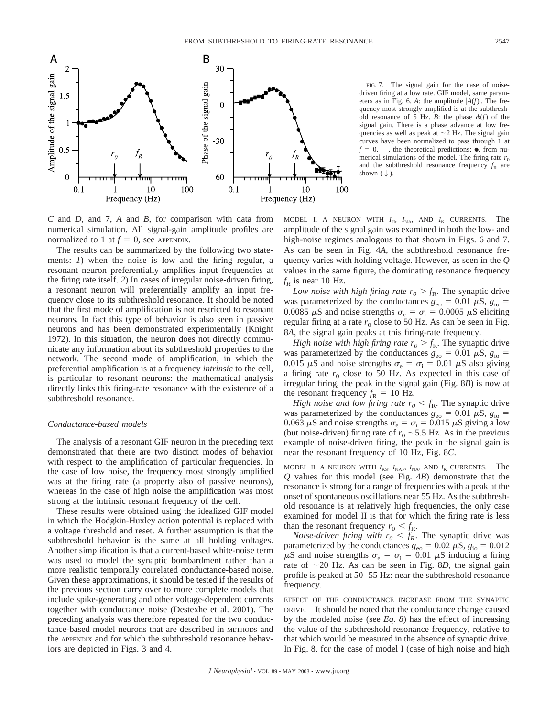

*C* and *D,* and 7, *A* and *B,* for comparison with data from numerical simulation. All signal-gain amplitude profiles are normalized to 1 at  $f = 0$ , see APPENDIX.

The results can be summarized by the following two statements: *1*) when the noise is low and the firing regular, a resonant neuron preferentially amplifies input frequencies at the firing rate itself. *2*) In cases of irregular noise-driven firing, a resonant neuron will preferentially amplify an input frequency close to its subthreshold resonance. It should be noted that the first mode of amplification is not restricted to resonant neurons. In fact this type of behavior is also seen in passive neurons and has been demonstrated experimentally (Knight 1972). In this situation, the neuron does not directly communicate any information about its subthreshold properties to the network. The second mode of amplification, in which the preferential amplification is at a frequency *intrinsic* to the cell, is particular to resonant neurons: the mathematical analysis directly links this firing-rate resonance with the existence of a subthreshold resonance.

#### *Conductance-based models*

The analysis of a resonant GIF neuron in the preceding text demonstrated that there are two distinct modes of behavior with respect to the amplification of particular frequencies. In the case of low noise, the frequency most strongly amplified was at the firing rate (a property also of passive neurons), whereas in the case of high noise the amplification was most strong at the intrinsic resonant frequency of the cell.

These results were obtained using the idealized GIF model in which the Hodgkin-Huxley action potential is replaced with a voltage threshold and reset. A further assumption is that the subthreshold behavior is the same at all holding voltages. Another simplification is that a current-based white-noise term was used to model the synaptic bombardment rather than a more realistic temporally correlated conductance-based noise. Given these approximations, it should be tested if the results of the previous section carry over to more complete models that include spike-generating and other voltage-dependent currents together with conductance noise (Destexhe et al. 2001). The preceding analysis was therefore repeated for the two conductance-based model neurons that are described in METHODS and the APPENDIX and for which the subthreshold resonance behaviors are depicted in Figs. 3 and 4.

FIG. 7. The signal gain for the case of noisedriven firing at a low rate. GIF model, same parameters as in Fig. 6. A: the amplitude  $|A(f)|$ . The frequency most strongly amplified is at the subthreshold resonance of 5 Hz. *B*: the phase  $\phi(f)$  of the signal gain. There is a phase advance at low frequencies as well as peak at  $\sim$  2 Hz. The signal gain curves have been normalized to pass through 1 at  $f = 0$ . —, the theoretical predictions;  $\bullet$ , from numerical simulations of the model. The firing rate  $r_0$ and the subthreshold resonance frequency  $f_{\rm R}$  are shown  $(\downarrow)$ .

MODEL I. A NEURON WITH  $I_{H}$ ,  $I_{NA}$ , AND  $I_{K}$  CURRENTS. The amplitude of the signal gain was examined in both the low- and high-noise regimes analogous to that shown in Figs. 6 and 7. As can be seen in Fig. 4*A,* the subthreshold resonance frequency varies with holding voltage. However, as seen in the *Q* values in the same figure, the dominating resonance frequency  $f_R$  is near 10 Hz.

*Low noise with high firing rate*  $r_0 > f_R$ . The synaptic drive was parameterized by the conductances  $g_{\text{eo}} = 0.01 \mu S$ ,  $g_{\text{io}} =$ 0.0085  $\mu$ S and noise strengths  $\sigma_{\rm e} = \sigma_{\rm i} = 0.0005 \mu$ S eliciting regular firing at a rate  $r_0$  close to 50 Hz. As can be seen in Fig. 8*A*, the signal gain peaks at this firing-rate frequency.

*High noise with high firing rate*  $r_0 > f_R$ . The synaptic drive was parameterized by the conductances  $g_{\text{eo}} = 0.01 \mu S$ ,  $g_{\text{io}} =$ 0.015  $\mu$ S and noise strengths  $\sigma_{\rm e} = \sigma_{\rm i} = 0.01 \mu$ S also giving a firing rate  $r_0$  close to 50 Hz. As expected in this case of irregular firing, the peak in the signal gain (Fig. 8*B*) is now at the resonant frequency  $f_{\rm R} = 10$  Hz.

*High noise and low firing rate*  $r_0 \leq f_R$ . The synaptic drive was parameterized by the conductances  $g_{\text{eo}} = 0.01 \mu S$ ,  $g_{\text{io}} =$ 0.063  $\mu$ S and noise strengths  $\sigma_e = \sigma_i = 0.015 \mu$ S giving a low (but noise-driven) firing rate of  $r_0 \sim 5.5$  Hz. As in the previous example of noise-driven firing, the peak in the signal gain is near the resonant frequency of 10 Hz, Fig. 8*C*.

MODEL II. A NEURON WITH  $I_{KS}$ ,  $I_{NAP}$ ,  $I_{NA}$ , AND  $I_K$  CURRENTS. The *Q* values for this model (see Fig. 4*B*) demonstrate that the resonance is strong for a range of frequencies with a peak at the onset of spontaneous oscillations near 55 Hz. As the subthreshold resonance is at relatively high frequencies, the only case examined for model II is that for which the firing rate is less than the resonant frequency  $r_0 < f_R$ .

*Noise-driven firing with*  $r_0 < f_R$ . The synaptic drive was parameterized by the conductances  $g_{\text{eo}} = 0.02 \mu S$ ,  $g_{\text{io}} = 0.012$  $\mu$ S and noise strengths  $\sigma_{\rm e} = \sigma_{\rm i} = 0.01 \mu$ S inducing a firing rate of 20 Hz. As can be seen in Fig. 8*D,* the signal gain profile is peaked at 50–55 Hz: near the subthreshold resonance frequency.

EFFECT OF THE CONDUCTANCE INCREASE FROM THE SYNAPTIC DRIVE. It should be noted that the conductance change caused by the modeled noise (see *Eq. 8*) has the effect of increasing the value of the subthreshold resonance frequency, relative to that which would be measured in the absence of synaptic drive. In Fig. 8, for the case of model I (case of high noise and high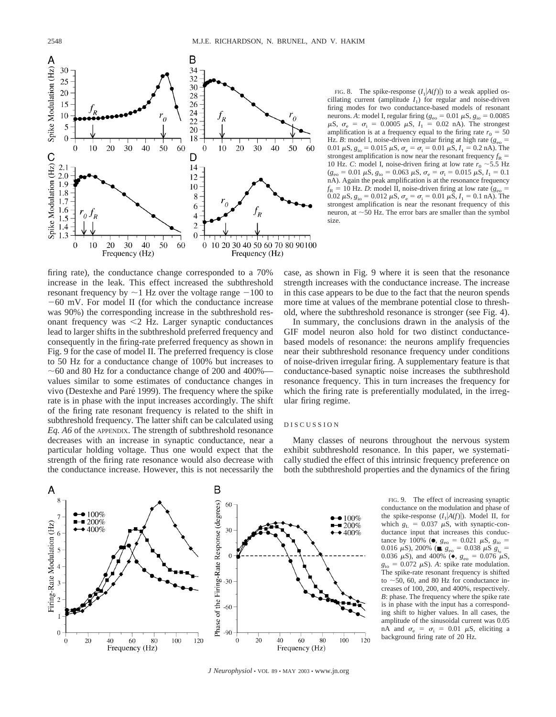

firing rate), the conductance change corresponded to a 70% increase in the leak. This effect increased the subthreshold resonant frequency by  $\sim$ 1 Hz over the voltage range  $-100$  to -60 mV. For model II (for which the conductance increase was 90%) the corresponding increase in the subthreshold resonant frequency was  $\leq$ 2 Hz. Larger synaptic conductances lead to larger shifts in the subthreshold preferred frequency and consequently in the firing-rate preferred frequency as shown in Fig. 9 for the case of model II. The preferred frequency is close to 50 Hz for a conductance change of 100% but increases to  $\sim$  60 and 80 Hz for a conductance change of 200 and 400% values similar to some estimates of conductance changes in vivo (Destexhe and Paré 1999). The frequency where the spike rate is in phase with the input increases accordingly. The shift of the firing rate resonant frequency is related to the shift in subthreshold frequency. The latter shift can be calculated using *Eq. A6* of the APPENDIX. The strength of subthreshold resonance decreases with an increase in synaptic conductance, near a particular holding voltage. Thus one would expect that the strength of the firing rate resonance would also decrease with the conductance increase. However, this is not necessarily the

FIG. 8. The spike-response  $(I_1|A(f)|)$  to a weak applied oscillating current (amplitude  $I_1$ ) for regular and noise-driven firing modes for two conductance-based models of resonant neurons. *A*: model I, regular firing ( $g_{\text{eo}} = 0.01 \mu$ S,  $g_{\text{io}} = 0.0085$  $\mu$ S,  $\sigma_e = \sigma_i = 0.0005 \mu$ S,  $I_1 = 0.02 \text{ nA}$ ). The strongest amplification is at a frequency equal to the firing rate  $r_0 = 50$ Hz. *B*: model I, noise-driven irregular firing at high rate ( $g_{\text{eo}}$  = 0.01  $\mu$ S,  $g_{io} = 0.015 \mu$ S,  $\sigma_e = \sigma_i = 0.01 \mu$ S,  $I_1 = 0.2 \text{ nA}$ ). The strongest amplification is now near the resonant frequency  $f_{\rm R}$  = 10 Hz. *C*: model I, noise-driven firing at low rate  $r_0 \sim 5.5$  Hz  $(g<sub>eo</sub> = 0.01 \mu S, g<sub>io</sub> = 0.063 \mu S, \sigma<sub>e</sub> = \sigma<sub>i</sub> = 0.015 \mu S, I<sub>1</sub> = 0.1$ nA). Again the peak amplification is at the resonance frequency  $f_{\rm R}$  = 10 Hz. *D*: model II, noise-driven firing at low rate ( $g_{\rm eo}$  =  $0.02 \mu S$ ,  $g_{io} = 0.012 \mu S$ ,  $\sigma_e = \sigma_i = 0.01 \mu S$ ,  $I_1 = 0.1 \text{ nA}$ ). The strongest amplification is near the resonant frequency of this neuron, at 50 Hz. The error bars are smaller than the symbol size.

case, as shown in Fig. 9 where it is seen that the resonance strength increases with the conductance increase. The increase in this case appears to be due to the fact that the neuron spends more time at values of the membrane potential close to threshold, where the subthreshold resonance is stronger (see Fig. 4).

In summary, the conclusions drawn in the analysis of the GIF model neuron also hold for two distinct conductancebased models of resonance: the neurons amplify frequencies near their subthreshold resonance frequency under conditions of noise-driven irregular firing. A supplementary feature is that conductance-based synaptic noise increases the subthreshold resonance frequency. This in turn increases the frequency for which the firing rate is preferentially modulated, in the irregular firing regime.

#### DISCUSSION

Many classes of neurons throughout the nervous system exhibit subthreshold resonance. In this paper, we systematically studied the effect of this intrinsic frequency preference on both the subthreshold properties and the dynamics of the firing



FIG. 9. The effect of increasing synaptic conductance on the modulation and phase of the spike-response  $(I_1|A(f)|)$ . Model II, for which  $g_L = 0.037 \mu S$ , with synaptic-conductance input that increases this conductance by 100% ( $\bullet$ ,  $g_{\text{eo}} = 0.021 \mu S$ ,  $g_{\text{io}} =$ 0.016  $\mu$ S), 200% (■,  $g_{\text{eo}} = 0.038 \mu$ S  $g_{\text{i}_0}$ 0.036  $\mu$ S), and 400% ( $\bullet$ ,  $g_{\text{eo}} = 0.076 \mu$ S,  $g_{io} = 0.072 \mu S$ ). *A*: spike rate modulation. The spike-rate resonant frequency is shifted to  $\sim$  50, 60, and 80 Hz for conductance increases of 100, 200, and 400%, respectively. *B*: phase. The frequency where the spike rate is in phase with the input has a corresponding shift to higher values. In all cases, the amplitude of the sinusoidal current was 0.05 nA and  $\sigma_{\rm e} = \sigma_{\rm i} = 0.01$   $\mu$ S, eliciting a background firing rate of 20 Hz.

*J Neurophysiol* • VOL 89 • MAY 2003 • www.jn.org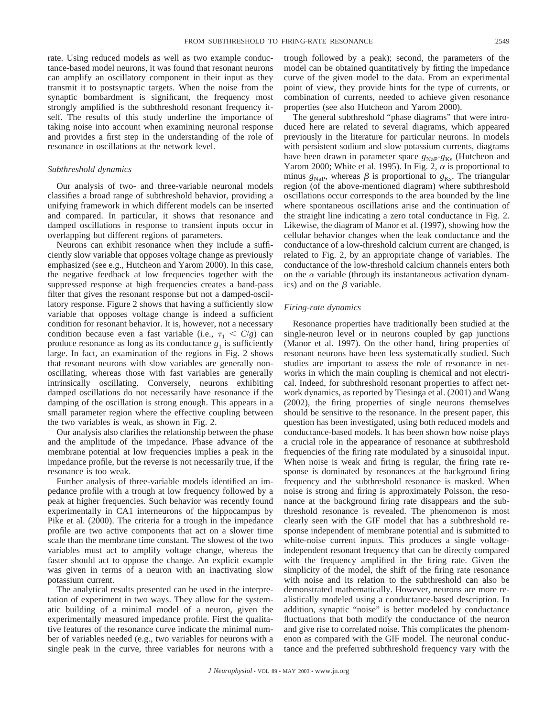rate. Using reduced models as well as two example conductance-based model neurons, it was found that resonant neurons can amplify an oscillatory component in their input as they transmit it to postsynaptic targets. When the noise from the synaptic bombardment is significant, the frequency most strongly amplified is the subthreshold resonant frequency itself. The results of this study underline the importance of taking noise into account when examining neuronal response

# *Subthreshold dynamics*

Our analysis of two- and three-variable neuronal models classifies a broad range of subthreshold behavior, providing a unifying framework in which different models can be inserted and compared. In particular, it shows that resonance and damped oscillations in response to transient inputs occur in overlapping but different regions of parameters.

and provides a first step in the understanding of the role of

resonance in oscillations at the network level.

Neurons can exhibit resonance when they include a sufficiently slow variable that opposes voltage change as previously emphasized (see e.g., Hutcheon and Yarom 2000). In this case, the negative feedback at low frequencies together with the suppressed response at high frequencies creates a band-pass filter that gives the resonant response but not a damped-oscillatory response. Figure 2 shows that having a sufficiently slow variable that opposes voltage change is indeed a sufficient condition for resonant behavior. It is, however, not a necessary condition because even a fast variable (i.e.,  $\tau_1 < C/g$ ) can produce resonance as long as its conductance  $g_1$  is sufficiently large. In fact, an examination of the regions in Fig. 2 shows that resonant neurons with slow variables are generally nonoscillating, whereas those with fast variables are generally intrinsically oscillating. Conversely, neurons exhibiting damped oscillations do not necessarily have resonance if the damping of the oscillation is strong enough. This appears in a small parameter region where the effective coupling between the two variables is weak, as shown in Fig. 2.

Our analysis also clarifies the relationship between the phase and the amplitude of the impedance. Phase advance of the membrane potential at low frequencies implies a peak in the impedance profile, but the reverse is not necessarily true, if the resonance is too weak.

Further analysis of three-variable models identified an impedance profile with a trough at low frequency followed by a peak at higher frequencies. Such behavior was recently found experimentally in CA1 interneurons of the hippocampus by Pike et al. (2000). The criteria for a trough in the impedance profile are two active components that act on a slower time scale than the membrane time constant. The slowest of the two variables must act to amplify voltage change, whereas the faster should act to oppose the change. An explicit example was given in terms of a neuron with an inactivating slow potassium current.

The analytical results presented can be used in the interpretation of experiment in two ways. They allow for the systematic building of a minimal model of a neuron, given the experimentally measured impedance profile. First the qualitative features of the resonance curve indicate the minimal number of variables needed (e.g., two variables for neurons with a single peak in the curve, three variables for neurons with a trough followed by a peak); second, the parameters of the model can be obtained quantitatively by fitting the impedance curve of the given model to the data. From an experimental point of view, they provide hints for the type of currents, or combination of currents, needed to achieve given resonance properties (see also Hutcheon and Yarom 2000).

The general subthreshold "phase diagrams" that were introduced here are related to several diagrams, which appeared previously in the literature for particular neurons. In models with persistent sodium and slow potassium currents, diagrams have been drawn in parameter space  $g_{\text{NaP}}-g_{\text{Ks}}$  (Hutcheon and Yarom 2000; White et al. 1995). In Fig. 2,  $\alpha$  is proportional to minus  $g_{\text{NaP}}$ , whereas  $\beta$  is proportional to  $g_{\text{Ks}}$ . The triangular region (of the above-mentioned diagram) where subthreshold oscillations occur corresponds to the area bounded by the line where spontaneous oscillations arise and the continuation of the straight line indicating a zero total conductance in Fig. 2. Likewise, the diagram of Manor et al. (1997), showing how the cellular behavior changes when the leak conductance and the conductance of a low-threshold calcium current are changed, is related to Fig. 2, by an appropriate change of variables. The conductance of the low-threshold calcium channels enters both on the  $\alpha$  variable (through its instantaneous activation dynamics) and on the  $\beta$  variable.

#### *Firing-rate dynamics*

Resonance properties have traditionally been studied at the single-neuron level or in neurons coupled by gap junctions (Manor et al. 1997). On the other hand, firing properties of resonant neurons have been less systematically studied. Such studies are important to assess the role of resonance in networks in which the main coupling is chemical and not electrical. Indeed, for subthreshold resonant properties to affect network dynamics, as reported by Tiesinga et al. (2001) and Wang (2002), the firing properties of single neurons themselves should be sensitive to the resonance. In the present paper, this question has been investigated, using both reduced models and conductance-based models. It has been shown how noise plays a crucial role in the appearance of resonance at subthreshold frequencies of the firing rate modulated by a sinusoidal input. When noise is weak and firing is regular, the firing rate response is dominated by resonances at the background firing frequency and the subthreshold resonance is masked. When noise is strong and firing is approximately Poisson, the resonance at the background firing rate disappears and the subthreshold resonance is revealed. The phenomenon is most clearly seen with the GIF model that has a subthreshold response independent of membrane potential and is submitted to white-noise current inputs. This produces a single voltageindependent resonant frequency that can be directly compared with the frequency amplified in the firing rate. Given the simplicity of the model, the shift of the firing rate resonance with noise and its relation to the subthreshold can also be demonstrated mathematically. However, neurons are more realistically modeled using a conductance-based description. In addition, synaptic "noise" is better modeled by conductance fluctuations that both modify the conductance of the neuron and give rise to correlated noise. This complicates the phenomenon as compared with the GIF model. The neuronal conductance and the preferred subthreshold frequency vary with the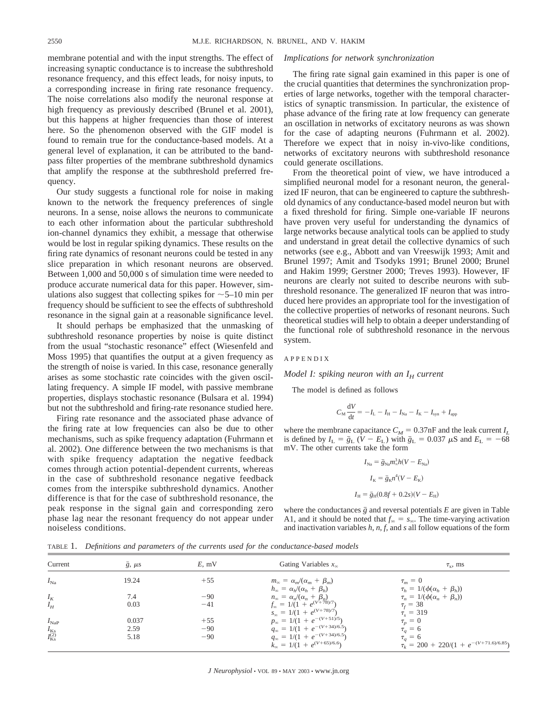membrane potential and with the input strengths. The effect of increasing synaptic conductance is to increase the subthreshold resonance frequency, and this effect leads, for noisy inputs, to a corresponding increase in firing rate resonance frequency. The noise correlations also modify the neuronal response at high frequency as previously described (Brunel et al. 2001), but this happens at higher frequencies than those of interest here. So the phenomenon observed with the GIF model is found to remain true for the conductance-based models. At a general level of explanation, it can be attributed to the bandpass filter properties of the membrane subthreshold dynamics that amplify the response at the subthreshold preferred frequency.

Our study suggests a functional role for noise in making known to the network the frequency preferences of single neurons. In a sense, noise allows the neurons to communicate to each other information about the particular subthreshold ion-channel dynamics they exhibit, a message that otherwise would be lost in regular spiking dynamics. These results on the firing rate dynamics of resonant neurons could be tested in any slice preparation in which resonant neurons are observed. Between 1,000 and 50,000 s of simulation time were needed to produce accurate numerical data for this paper. However, simulations also suggest that collecting spikes for  $\sim$  5–10 min per frequency should be sufficient to see the effects of subthreshold resonance in the signal gain at a reasonable significance level.

It should perhaps be emphasized that the unmasking of subthreshold resonance properties by noise is quite distinct from the usual "stochastic resonance" effect (Wiesenfeld and Moss 1995) that quantifies the output at a given frequency as the strength of noise is varied. In this case, resonance generally arises as some stochastic rate coincides with the given oscillating frequency. A simple IF model, with passive membrane properties, displays stochastic resonance (Bulsara et al. 1994) but not the subthreshold and firing-rate resonance studied here.

Firing rate resonance and the associated phase advance of the firing rate at low frequencies can also be due to other mechanisms, such as spike frequency adaptation (Fuhrmann et al. 2002). One difference between the two mechanisms is that with spike frequency adaptation the negative feedback comes through action potential-dependent currents, whereas in the case of subthreshold resonance negative feedback comes from the interspike subthreshold dynamics. Another difference is that for the case of subthreshold resonance, the peak response in the signal gain and corresponding zero phase lag near the resonant frequency do not appear under noiseless conditions.

#### *Implications for network synchronization*

The firing rate signal gain examined in this paper is one of the crucial quantities that determines the synchronization properties of large networks, together with the temporal characteristics of synaptic transmission. In particular, the existence of phase advance of the firing rate at low frequency can generate an oscillation in networks of excitatory neurons as was shown for the case of adapting neurons (Fuhrmann et al. 2002). Therefore we expect that in noisy in-vivo-like conditions, networks of excitatory neurons with subthreshold resonance could generate oscillations.

From the theoretical point of view, we have introduced a simplified neuronal model for a resonant neuron, the generalized IF neuron, that can be engineered to capture the subthreshold dynamics of any conductance-based model neuron but with a fixed threshold for firing. Simple one-variable IF neurons have proven very useful for understanding the dynamics of large networks because analytical tools can be applied to study and understand in great detail the collective dynamics of such networks (see e.g., Abbott and van Vreeswijk 1993; Amit and Brunel 1997; Amit and Tsodyks 1991; Brunel 2000; Brunel and Hakim 1999; Gerstner 2000; Treves 1993). However, IF neurons are clearly not suited to describe neurons with subthreshold resonance. The generalized IF neuron that was introduced here provides an appropriate tool for the investigation of the collective properties of networks of resonant neurons. Such theoretical studies will help to obtain a deeper understanding of the functional role of subthreshold resonance in the nervous system.

#### APPENDIX

*Model I: spiking neuron with an I<sub>H</sub> current* 

The model is defined as follows

$$
C_{\rm M} \frac{\mathrm{d}V}{\mathrm{d}t} = -I_{\rm L} - I_{\rm H} - I_{\rm Na} - I_{\rm K} - I_{\rm syn} + I_{\rm app}
$$

where the membrane capacitance  $C_M = 0.37$ nF and the leak current  $I_L$ is defined by  $I_L = \bar{g}_L (V - E_L)$  with  $\bar{g}_L = 0.037 \mu S$  and  $E_L = -68$ mV. The other currents take the form

$$
I_{\text{Na}} = \bar{g}_{\text{Na}} m_{\text{s}}^3 h (V - E_{\text{Na}})
$$

$$
I_{\text{K}} = \bar{g}_{\text{K}} n^4 (V - E_{\text{K}})
$$

$$
I_{\text{H}} = \bar{g}_{\text{H}} (0.8f + 0.2s)(V - E_{\text{H}})
$$

where the conductances  $\bar{g}$  and reversal potentials  $E$  are given in Table A1, and it should be noted that  $f_{\infty} = s_{\infty}$ . The time-varying activation and inactivation variables *h*, *n*, *f,* and *s* all follow equations of the form

TABLE 1. *Definitions and parameters of the currents used for the conductance-based models*

| Current                             | $g$ , $\mu s$ | E, mV          | Gating Variables $x_{\infty}$                                                                                             | $\tau_{\rm v}$ , ms                                                              |
|-------------------------------------|---------------|----------------|---------------------------------------------------------------------------------------------------------------------------|----------------------------------------------------------------------------------|
| $I_{\rm Na}$                        | 19.24         | $+55$          | $m_{\infty} = \alpha_m/(\alpha_m + \beta_m)$<br>$h_{\infty} = \alpha_{h} / (\alpha_{h} + \beta_{h})$                      | $\tau_m = 0$<br>$\tau_h = 1/(\phi(\alpha_h + \beta_h))$                          |
| $I_K$<br>$I_H$                      | 7.4<br>0.03   | $-90$<br>$-41$ | $n_{\infty} = \alpha_n/(\alpha_n + \beta_n)$<br>$f_{\infty} = 1/(1 + e^{(V + 78)/7})$                                     | $\tau_n = 1/(\phi(\alpha_n + \beta_n))$<br>$\tau_{\rm r} = 38$                   |
| $I_{\rm NaP}$                       | 0.037         | $+55$          | $s_{\infty} = 1/(1 + e^{(V+78)/7})$<br>$p_{\infty} = 1/(1 + e^{-(V+51)/5})$                                               | $\tau_{s} = 319$<br>$\tau_n = 0$                                                 |
| $I_{\rm Ks} \over I_{\rm Ks}^{(2)}$ | 2.59<br>5.18  | $-90$<br>$-90$ | $q_{\infty} = 1/(1 + e^{-(V+34)/6.5})$<br>$q_{\infty} = 1/(1 + e^{-(V+34)/6.5})$<br>$k_{\infty} = 1/(1 + e^{(V+65)/6.6})$ | $\tau_a = 6$<br>$\tau_a = 6$<br>$\tau_k$ = 200 + 220/(1 + $e^{-(V+71.6)/6.85}$ ) |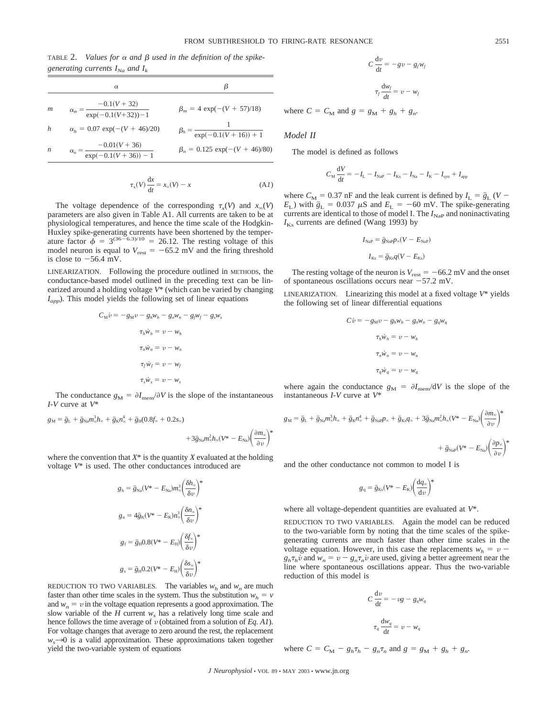TABLE 2. *Values for*  $\alpha$  and  $\beta$  used in the definition of the spike*generating currents*  $I_{Na}$  *and*  $I_k$ 

|   | $\alpha$                                                           | β                                         |
|---|--------------------------------------------------------------------|-------------------------------------------|
| m | $-0.1(V + 32)$<br>$\alpha_m = -$<br>$\frac{1}{\exp(-0.1(V+32))-1}$ | $\beta_m = 4 \exp(-(V + 57)/18)$          |
| h | $\alpha_h = 0.07 \exp(-(V + 46)/20)$                               | $\beta_h = \frac{}{\exp(-0.1(V+16)) + 1}$ |
| n | $-0.01(V + 36)$<br>$\alpha_n = \frac{1}{\exp(-0.1(V+36))} - 1$     | $\beta_n = 0.125 \exp(-(V + 46)/80)$      |

$$
\tau_x(V) \frac{\mathrm{d}x}{\mathrm{d}t} = x_\infty(V) - x \tag{A1}
$$

The voltage dependence of the corresponding  $\tau_x(V)$  and  $x_\infty(V)$ parameters are also given in Table A1. All currents are taken to be at physiological temperatures, and hence the time scale of the Hodgkin-Huxley spike-generating currents have been shortened by the temperature factor  $\phi = 3^{(36-6.3)/10} = 26.12$ . The resting voltage of this model neuron is equal to  $V_{\text{rest}} = -65.2 \text{ mV}$  and the firing threshold is close to  $-56.4$  mV.

LINEARIZATION. Following the procedure outlined in METHODS, the conductance-based model outlined in the preceding text can be linearized around a holding voltage *V*\* (which can be varied by changing *Iapp*). This model yields the following set of linear equations

$$
C_M \dot{v} = -g_M v - g_h w_h - g_n w_n - g_j w_f - g_s w_s
$$

$$
\tau_h \dot{w}_h = v - w_h
$$

$$
\tau_n \dot{w}_n = v - w_n
$$

$$
\tau_f \dot{w}_f = v - w_f
$$

$$
\tau_s \dot{w}_s = v - w_s
$$

The conductance  $g_M = \partial I_{\text{mem}}/\partial V$  is the slope of the instantaneous *I*-*V* curve at *V*\*

$$
\bar{g}_{\rm L} + \bar{g}_{\rm Na} m_{\alpha}^3 h_{\alpha} + \bar{g}_{\rm K} n_{\alpha}^4 + \bar{g}_{\rm H} (0.8f_{\alpha} + 0.2s_{\alpha}) + 3\bar{g}_{\rm Na} m_{\alpha}^2 h_{\alpha} (V^* - E_{\rm Na}) \left(\frac{\partial m_{\alpha}}{\partial v}\right)^*
$$

 $g_M =$ 

where the convention that  $X^*$  is the quantity  $X$  evaluated at the holding voltage *V*\* is used. The other conductances introduced are

$$
g_{h} = \bar{g}_{Na}(V^{*} - E_{Na})m_{\infty}^{3} \left(\frac{\delta h_{\infty}}{\delta v}\right)^{*}
$$

$$
g_{n} = 4\bar{g}_{K}(V^{*} - E_{K})n_{\infty}^{3} \left(\frac{\delta n_{\infty}}{\delta v}\right)^{*}
$$

$$
g_{f} = \bar{g}_{H}0.8(V^{*} - E_{H}) \left(\frac{\delta f_{\infty}}{\delta v}\right)^{*}
$$

$$
g_{s} = \bar{g}_{H}0.2(V^{*} - E_{H}) \left(\frac{\delta s_{\infty}}{\delta v}\right)^{*}
$$

REDUCTION TO TWO VARIABLES. The variables  $w_h$  and  $w_n$  are much faster than other time scales in the system. Thus the substitution  $w_h = v$ and  $w_n = v$  in the voltage equation represents a good approximation. The slow variable of the  $H$  current  $w_s$  has a relatively long time scale and hence follows the time average of *v* (obtained from a solution of *Eq. A1*). For voltage changes that average to zero around the rest, the replacement  $w_s \rightarrow 0$  is a valid approximation. These approximations taken together yield the two-variable system of equations

$$
C \frac{dv}{dt} = -gv - g_f w_f
$$

$$
\tau_f \frac{dw_f}{dt} = v - w_f
$$

where  $C = C_{\text{M}}$  and  $g = g_{\text{M}} + g_h + g_h$ .

# *Model II*

The model is defined as follows

$$
C_{\rm M} \frac{\mathrm{d}V}{\mathrm{d}t} = -I_{\rm L} - I_{\rm NaP} - I_{\rm Ks} - I_{\rm Na} - I_{\rm K} - I_{\rm syn} + I_{\rm app}
$$

where  $C_M = 0.37$  nF and the leak current is defined by  $I_L = \overline{g}_L (V E_{\rm L}$ ) with  $\bar{g}_{\rm L} = 0.037 \mu S$  and  $E_{\rm L} = -60 \text{ mV}$ . The spike-generating currents are identical to those of model I. The  $I_{\text{NaP}}$  and noninactivating  $I_{\text{Ks}}$  currents are defined (Wang 1993) by

$$
I_{\text{NaP}} = \bar{g}_{\text{NaP}} p_{\infty} (V - E_{\text{NaP}})
$$

$$
I_{\text{Ks}} = \bar{g}_{\text{Ks}} q (V - E_{\text{Ks}})
$$

The resting voltage of the neuron is  $V_{\text{rest}} = -66.2 \text{ mV}$  and the onset of spontaneous oscillations occurs near  $-57.2$  mV.

LINEARIZATION. Linearizing this model at a fixed voltage *V*\* yields the following set of linear differential equations

$$
C\dot{v} = -g_M v - g_h w_h - g_n w_n - g_q w_q
$$

$$
\tau_h \dot{w}_h = v - w_h
$$

$$
\tau_n \dot{w}_n = v - w_n
$$

$$
\tau_q \dot{w}_q = v - w_q
$$

where again the conductance  $g_M = \partial I_{\text{mem}}/dV$  is the slope of the instantaneous *I*-*V* curve at *V*\*

$$
g_{\rm M} = \bar{g}_{\rm L} + \bar{g}_{\rm Na} m_{\infty}^3 h_{\infty} + \bar{g}_{\rm K} n_{\infty}^4 + \bar{g}_{\rm NaP} p_{\infty} + \bar{g}_{\rm Ks} q_{\infty} + 3 \bar{g}_{\rm Na} m_{\infty}^2 h_{\infty} (V^* - E_{\rm Na}) \left( \frac{\partial m_{\infty}}{\partial v} \right)^* + \bar{g}_{\rm NaP} (V^* - E_{\rm Na}) \left( \frac{\partial p_{\infty}}{\partial v} \right)^*
$$

and the other conductance not common to model I is

$$
g_{q} = \overline{g}_{Ks}(V^{*} - E_{K}) \left(\frac{dq_{\infty}}{dv}\right)^{*}
$$

where all voltage-dependent quantities are evaluated at *V*\*.

REDUCTION TO TWO VARIABLES. Again the model can be reduced to the two-variable form by noting that the time scales of the spikegenerating currents are much faster than other time scales in the voltage equation. However, in this case the replacements  $w_h = v$  $g_h \tau_h \dot{v}$  and  $w_n = v - g_n \tau_n \dot{v}$  are used, giving a better agreement near the line where spontaneous oscillations appear. Thus the two-variable reduction of this model is

$$
C\frac{dv}{dt} = -vg - g_q w_q
$$

$$
\tau_q \frac{dw_q}{dt} = v - w_q
$$

where  $C = C_{\text{M}} - g_h \tau_h - g_n \tau_n$  and  $g = g_{\text{M}} + g_h + g_n$ .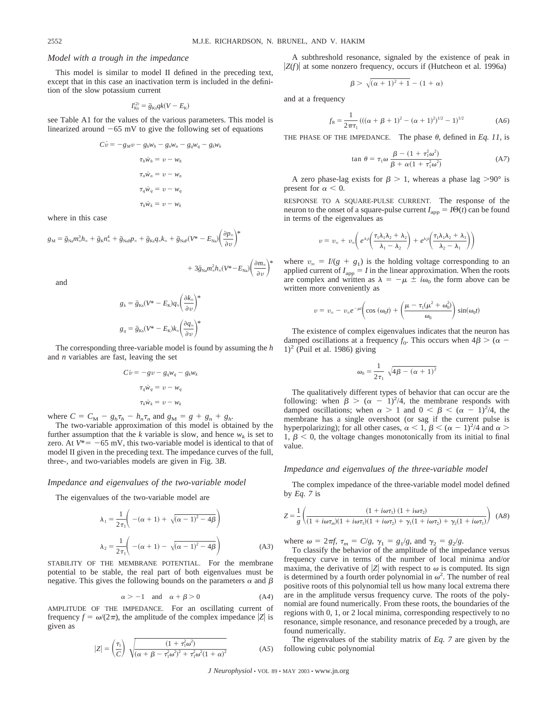## *Model with a trough in the impedance*

This model is similar to model II defined in the preceding text, except that in this case an inactivation term is included in the definition of the slow potassium current

$$
I_{\text{Ks}}^{(2)} = \bar{g}_{\text{Ks}} q k (V - E_{\text{K}})
$$

see Table A1 for the values of the various parameters. This model is linearized around  $-65$  mV to give the following set of equations

$$
C\dot{v} = -g_M v - g_h w_h - g_a w_n - g_q w_q - g_k w_k
$$

$$
\tau_h \dot{w}_h = v - w_h
$$

$$
\tau_n \dot{w}_n = v - w_n
$$

$$
\tau_q \dot{w}_q = v - w_q
$$

$$
\tau_k \dot{w}_k = v - w_k
$$

where in this case

$$
g_{\rm M} = \bar{g}_{\rm Na} m_{\infty}^3 h_{\infty} + \bar{g}_{\rm K} n_{\infty}^4 + \bar{g}_{\rm NaP} p_{\infty} + \bar{g}_{\rm Ks} q_{\infty} k_{\infty} + \bar{g}_{\rm NaP} (V^* - E_{\rm Na}) \left( \frac{\partial p_{\infty}}{\partial v} \right)^*
$$

and

$$
g_k = \bar{g}_{\text{Ks}}(V^* - E_{\text{K}})q_x \left(\frac{\partial k_x}{\partial v}\right)^*
$$

$$
g_q = \bar{g}_{\text{Ks}}(V^* - E_{\text{K}})k_x \left(\frac{\partial q_x}{\partial v}\right)^*
$$

 $+3\bar{g}_{\text{Na}}m_{\infty}^2h_{\infty}(V^*-E_{\text{Na}})\bigg(\frac{\partial m_{\infty}}{\partial v}\bigg)^*$ 

The corresponding three-variable model is found by assuming the *h* and *n* variables are fast, leaving the set

$$
C\dot{v} = -gv - g_q w_q - g_k w_k
$$

$$
\tau_q \dot{w}_q = v - w_q
$$

$$
\tau_k \dot{w}_k = v - w_k
$$

where  $C = C_{\text{M}} - g_h \tau_h - h_n \tau_n$  and  $g_{\text{M}} = g + g_n + g_h$ .

The two-variable approximation of this model is obtained by the further assumption that the  $k$  variable is slow, and hence  $w_k$  is set to zero. At  $V^* = -65$  mV, this two-variable model is identical to that of model II given in the preceding text. The impedance curves of the full, three-, and two-variables models are given in Fig. 3*B*.

#### *Impedance and eigenvalues of the two-variable model*

The eigenvalues of the two-variable model are

$$
\lambda_1 = \frac{1}{2\tau_1} \left( -( \alpha + 1 ) + \sqrt{(\alpha - 1)^2 - 4\beta} \right)
$$

$$
\lambda_2 = \frac{1}{2\tau_1} \left( -( \alpha + 1 ) - \sqrt{(\alpha - 1)^2 - 4\beta} \right) \tag{A3}
$$

STABILITY OF THE MEMBRANE POTENTIAL. For the membrane potential to be stable, the real part of both eigenvalues must be negative. This gives the following bounds on the parameters  $\alpha$  and  $\beta$ 

$$
\alpha > -1 \quad \text{and} \quad \alpha + \beta > 0 \tag{A4}
$$

AMPLITUDE OF THE IMPEDANCE. For an oscillating current of frequency  $f = \omega/(2\pi)$ , the amplitude of the complex impedance |Z| is given as

$$
|Z| = \left(\frac{\tau_1}{C}\right) \sqrt{\frac{\left(1 + \tau_1^2 \omega^2\right)}{(\alpha + \beta - \tau_1^2 \omega^2)^2 + \tau_1^2 \omega^2 (1 + \alpha)^2}}
$$
(A5)

A subthreshold resonance, signaled by the existence of peak in  $|Z(f)|$  at some nonzero frequency, occurs if (Hutcheon et al. 1996a)

$$
\beta > \sqrt{(\alpha + 1)^2 + 1} - (1 + \alpha)
$$

and at a frequency

$$
f_{\rm R} = \frac{1}{2\pi\tau_1} \left( ((\alpha + \beta + 1)^2 - (\alpha + 1)^2)^{1/2} - 1 \right)^{1/2}
$$
 (A6)

THE PHASE OF THE IMPEDANCE. The phase  $\theta$ , defined in *Eq. 11*, is

$$
\tan \theta = \tau_1 \omega \frac{\beta - (1 + \tau_1^2 \omega^2)}{\beta + \alpha (1 + \tau_1^2 \omega^2)}
$$
 (A7)

A zero phase-lag exists for  $\beta > 1$ , whereas a phase lag >90° is present for  $\alpha < 0$ .

RESPONSE TO A SQUARE-PULSE CURRENT. The response of the neuron to the onset of a square-pulse current  $I_{\text{app}} = I\Theta(t)$  can be found in terms of the eigenvalues as

$$
\upsilon = \upsilon_{\infty} + \upsilon_{\infty} \bigg( e^{\lambda_1 t} \bigg( \frac{\tau_1 \lambda_1 \lambda_2 + \lambda_2}{\lambda_1 - \lambda_2} \bigg) + e^{\lambda_2 t} \bigg( \frac{\tau_1 \lambda_1 \lambda_2 + \lambda_1}{\lambda_2 - \lambda_1} \bigg) \bigg)
$$

where  $v_{\infty} = I/(g + g_1)$  is the holding voltage corresponding to an applied current of  $I_{app} = I$  in the linear approximation. When the roots are complex and written as  $\lambda = -\mu \pm i\omega_0$  the form above can be written more conveniently as

$$
v = v_{\infty} - v_{\infty} e^{-\mu t} \left( \cos (\omega_0 t) + \left( \frac{\mu - \tau_1(\mu^2 + \omega_0^2)}{\omega_0} \right) \sin(\omega_0 t) \right)
$$

The existence of complex eigenvalues indicates that the neuron has damped oscillations at a frequency  $f_0$ . This occurs when  $4\beta > (\alpha 1)^2$  (Puil et al. 1986) giving

$$
\omega_0 = \frac{1}{2\tau_1} \sqrt{4\beta - (\alpha + 1)^2}
$$

The qualitatively different types of behavior that can occur are the following: when  $\beta > (\alpha - 1)^2/4$ , the membrane responds with damped oscillations; when  $\alpha > 1$  and  $0 < \beta < (\alpha - 1)^2/4$ , the membrane has a single overshoot (or sag if the current pulse is hyperpolarizing); for all other cases,  $\alpha < 1$ ,  $\beta < (\alpha - 1)^2/4$  and  $\alpha >$ 1,  $\beta$  < 0, the voltage changes monotonically from its initial to final value.

#### *Impedance and eigenvalues of the three-variable model*

The complex impedance of the three-variable model model defined by *Eq. 7* is

$$
Z = \frac{1}{g} \left( \frac{\left(1 + i\omega\tau_1\right)\left(1 + i\omega\tau_2\right)}{\left(1 + i\omega\tau_m\right)\left(1 + i\omega\tau_1\right)\left(1 + i\omega\tau_2\right) + \gamma_1\left(1 + i\omega\tau_2\right) + \gamma_2\left(1 + i\omega\tau_1\right)} \right) (A8)
$$

where  $\omega = 2\pi f$ ,  $\tau_m = C/g$ ,  $\gamma_1 = g_1/g$ , and  $\gamma_2 = g_2/g$ .

To classify the behavior of the amplitude of the impedance versus frequency curve in terms of the number of local minima and/or maxima, the derivative of  $|Z|$  with respect to  $\omega$  is computed. Its sign is determined by a fourth order polynomial in  $\omega^2$ . The number of real positive roots of this polynomial tell us how many local extrema there are in the amplitude versus frequency curve. The roots of the polynomial are found numerically. From these roots, the boundaries of the regions with 0, 1, or 2 local minima, corresponding respectively to no resonance, simple resonance, and resonance preceded by a trough, are found numerically.

The eigenvalues of the stability matrix of *Eq. 7* are given by the following cubic polynomial

*J Neurophysiol* • VOL 89 • MAY 2003 • www.jn.org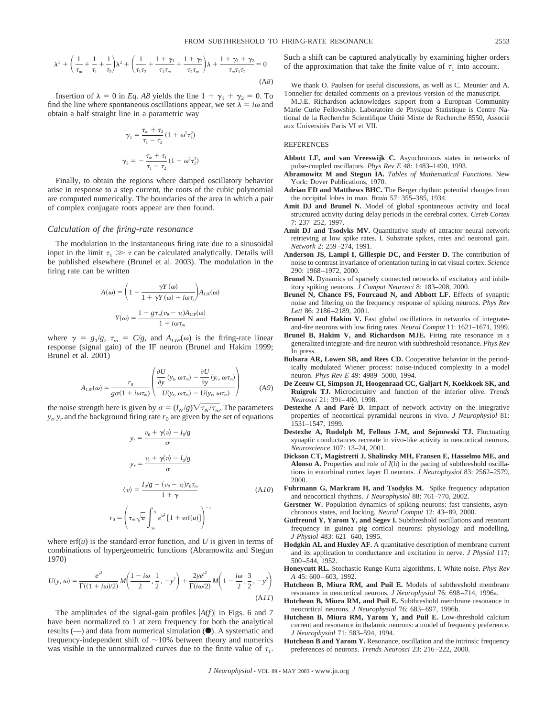$$
\lambda^{3} + \left(\frac{1}{\tau_{m}} + \frac{1}{\tau_{1}} + \frac{1}{\tau_{2}}\right)\lambda^{2} + \left(\frac{1}{\tau_{1}\tau_{2}} + \frac{1+\gamma_{1}}{\tau_{1}\tau_{m}} + \frac{1+\gamma_{2}}{\tau_{2}\tau_{m}}\right)\lambda + \frac{1+\gamma_{1}+\gamma_{2}}{\tau_{m}\tau_{1}\tau_{2}} = 0
$$
\n(A8)

Insertion of  $\lambda = 0$  in *Eq. A8* yields the line  $1 + \gamma_1 + \gamma_2 = 0$ . To find the line where spontaneous oscillations appear, we set  $\lambda = i\omega$  and obtain a half straight line in a parametric way

$$
\gamma_1 = \frac{\tau_m + \tau_2}{\tau_1 - \tau_2} (1 + \omega^2 \tau_1^2)
$$

$$
\gamma_2 = -\frac{\tau_m + \tau_1}{\tau_1 - \tau_2} (1 + \omega^2 \tau_2^2)
$$

Finally, to obtain the regions where damped oscillatory behavior arise in response to a step current, the roots of the cubic polynomial are computed numerically. The boundaries of the area in which a pair of complex conjugate roots appear are then found.

#### *Calculation of the firing-rate resonance*

The modulation in the instantaneous firing rate due to a sinusoidal input in the limit  $\tau_1 \gg \tau$  can be calculated analytically. Details will be published elsewhere (Brunel et al. 2003). The modulation in the firing rate can be written

$$
A(\omega) = \left(1 - \frac{\gamma Y(\omega)}{1 + \gamma Y(\omega) + i\omega \tau_1}\right) A_{\text{LIF}}(\omega)
$$

$$
Y(\omega) = \frac{1 - g\tau_m(v_\theta - v_r) A_{\text{LIF}}(\omega)}{1 + i\omega \tau_m}
$$

where  $\gamma = g_1/g$ ,  $\tau_m = C/g$ , and  $A_{LIF}(\omega)$  is the firing-rate linear response (signal gain) of the IF neuron (Brunel and Hakim 1999; Brunel et al. 2001)

$$
A_{\text{LIF}}(\omega) = \frac{r_0}{g\sigma(1 + i\omega\tau_m)} \left( \frac{\partial U}{\partial y}(y_t, \omega\tau_m) - \frac{\partial U}{\partial y}(y_t, \omega\tau_m) \right) \tag{A9}
$$

 $\mathcal{L}$ 

the noise strength here is given by  $\sigma = (I_N/g)\sqrt{\tau_N/\tau_m}$ . The parameters  $y_t$ ,  $y_r$  and the background firing rate  $r_0$  are given by the set of equations

$$
y_t = \frac{v_{\theta} + \gamma(v) - I_0/g}{\sigma}
$$

$$
y_r = \frac{v_t + \gamma(v) - I_0/g}{\sigma}
$$

$$
\langle v \rangle = \frac{I_0/g - (v_{\theta} - v_r)r_0\tau_m}{1 + \gamma}
$$

$$
r_0 = \left(\tau_m \sqrt{\pi} \int_{y_r}^{y_r} e^{u^2} [1 + \text{erf}(u)]\right)^{-1}
$$
(A10)

where  $\text{erf}(u)$  is the standard error function, and U is given in terms of combinations of hypergeometric functions (Abramowitz and Stegun 1970)

$$
U(y, \omega) = \frac{e^{y^2}}{\Gamma((1+i\omega)/2)} M\left(\frac{1-i\omega}{2}, \frac{1}{2}, -y^2\right) + \frac{2ye^{y^2}}{\Gamma(i\omega/2)} M\left(1 - \frac{i\omega}{2}, \frac{3}{2}, -y^2\right)
$$
\n(AII)

The amplitudes of the signal-gain profiles  $|A(f)|$  in Figs. 6 and 7 have been normalized to 1 at zero frequency for both the analytical results  $(-)$  and data from numerical simulation  $(•)$ . A systematic and frequency-independent shift of  $\sim$ 10% between theory and numerics was visible in the unnormalized curves due to the finite value of  $\tau_1$ .

Such a shift can be captured analytically by examining higher orders of the approximation that take the finite value of  $\tau_1$  into account.

We thank O. Paulsen for useful discussions, as well as C. Meunier and A. Tonnelier for detailed comments on a previous version of the manuscript.

M.J.E. Richardson acknowledges support from a European Community Marie Curie Fellowship. Laboratoire de Physique Statistique is Centre National de la Recherche Scientifique Unité Mixte de Recherche 8550, Associé aux Universités Paris VI et VII.

#### REFERENCES

- **Abbott LF, and van Vreeswijk C.** Asynchronous states in networks of pulse-coupled oscillators. *Phys Rev E* 48: 1483–1490, 1993.
- **Abramowitz M and Stegun IA.** *Tables of Mathematical Functions.* New York: Dover Publications, 1970.
- **Adrian ED and Matthews BHC.** The Berger rhythm: potential changes from the occipital lobes in man. *Brain* 57: 355–385, 1934.
- **Amit DJ and Brunel N.** Model of global spontaneous activity and local structured activity during delay periods in the cerebral cortex. *Cereb Cortex* 7: 237–252, 1997.
- Amit DJ and Tsodyks MV. Quantitative study of attractor neural network retrieving at low spike rates. I. Substrate spikes, rates and neuronal gain. *Network* 2: 259–274, 1991.
- **Anderson JS, Lampl I, Gillespie DC, and Ferster D.** The contribution of noise to contrast invariance of orientation tuning in cat visual cortex. *Science* 290: 1968–1972, 2000.
- **Brunel N.** Dynamics of sparsely connected networks of excitatory and inhibitory spiking neurons. *J Comput Neurosci* 8: 183–208, 2000.
- **Brunel N, Chance FS, Fourcaud N, and Abbott LF.** Effects of synaptic noise and filtering on the frequency response of spiking neurons. *Phys Rev Lett* 86: 2186–2189, 2001.
- **Brunel N and Hakim V.** Fast global oscillations in networks of integrateand-fire neurons with low firing rates. *Neural Comput* 11: 1621–1671, 1999.
- **Brunel B, Hakim V, and Richardson MJE.** Firing rate resonance in a generalized integrate-and-fire neuron with subthreshold resonance. *Phys Rev* In press.
- **Bulsara AR, Lowen SB, and Rees CD.** Cooperative behavior in the periodically modulated Wiener process: noise-induced complexity in a model neuron. *Phys Rev E* 49: 4989–5000, 1994.
- **De Zeeuw CI, Simpson JI, Hoogenraad CC, Galjart N, Koekkoek SK, and Ruigrok TJ.** Microcircuitry and function of the inferior olive. *Trends Neurosci* 21: 391–400, 1998.
- **Destexhe A and Paré D.** Impact of network activity on the integrative properties of neocortical pyramidal neurons in vivo. *J Neurophysiol* 81: 1531–1547, 1999.
- **Destexhe A, Rudolph M, Fellous J-M, and Sejnowski TJ.** Fluctuating synaptic conductances recreate in vivo-like activity in neocortical neurons. *Neuroscience* 107: 13–24, 2001.
- **Dickson CT, Magistretti J, Shalinsky MH, Fransen E, Hasselmo ME, and Alonso A.** Properties and role of *I*(h) in the pacing of subthreshold oscillations in entorhinal cortex layer II neurons. *J Neurophysiol* 83: 2562–2579, 2000.
- (A*10*) **Fuhrmann G, Markram H, and Tsodyks M.** Spike frequency adaptation and neocortical rhythms. *J Neurophysiol* 88: 761–770, 2002.
	- **Gerstner W.** Population dynamics of spiking neurons: fast transients, asynchronous states, and locking. *Neural Comput* 12: 43–89, 2000.
	- **Gutfreund Y, Yarom Y, and Segev I.** Subthreshold oscillations and resonant frequency in guinea pig cortical neurons: physiology and modelling. *J Physiol* 483: 621–640, 1995.
	- Hodgkin AL and Huxley AF. A quantitative description of membrane current and its application to conductance and excitation in nerve. *J Physiol* 117: 500–544, 1952.
	- **Honeycutt RL.** Stochastic Runge-Kutta algorithms. I. White noise. *Phys Rev A* 45: 600–603, 1992.
	- **Hutcheon B, Miura RM, and Puil E.** Models of subthreshold membrane resonance in neocortical neurons. *J Neurophysiol* 76: 698–714, 1996a.
	- **Hutcheon B, Miura RM, and Puil E.** Subthreshold membrane resonance in neocortical neurons. *J Neurophysiol* 76: 683–697, 1996b.
	- **Hutcheon B, Miura RM, Yarom Y, and Puil E.** Low-threshold calcium current and resonance in thalamic neurons: a model of frequency preference. *J Neurophysiol* 71: 583–594, 1994.
	- **Hutcheon B and Yarom Y.** Resonance, oscillation and the intrinsic frequency preferences of neurons. *Trends Neurosci* 23: 216–222, 2000.